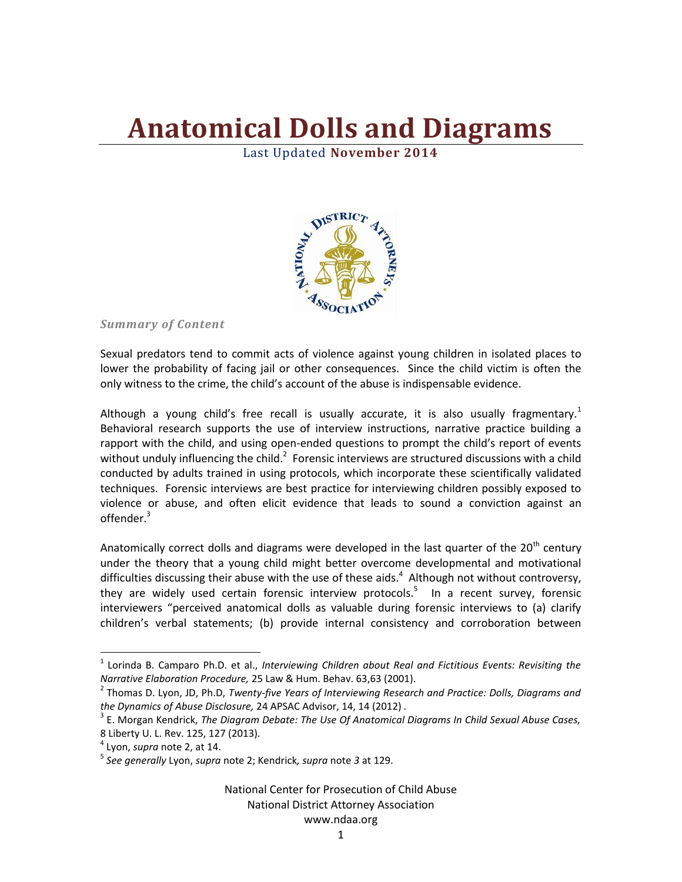# **Anatomical Dolls and Diagrams**

Last Updated **November 2014**



*Summary of Content*

Sexual predators tend to commit acts of violence against young children in isolated places to lower the probability of facing jail or other consequences. Since the child victim is often the only witness to the crime, the child's account of the abuse is indispensable evidence.

Although a young child's free recall is usually accurate, it is also usually fragmentary.<sup>1</sup> Behavioral research supports the use of interview instructions, narrative practice building a rapport with the child, and using open-ended questions to prompt the child's report of events without unduly influencing the child.<sup>2</sup> Forensic interviews are structured discussions with a child conducted by adults trained in using protocols, which incorporate these scientifically validated techniques. Forensic interviews are best practice for interviewing children possibly exposed to violence or abuse, and often elicit evidence that leads to sound a conviction against an offender.<sup>3</sup>

Anatomically correct dolls and diagrams were developed in the last quarter of the  $20<sup>th</sup>$  century under the theory that a young child might better overcome developmental and motivational difficulties discussing their abuse with the use of these aids.<sup>4</sup> Although not without controversy, they are widely used certain forensic interview protocols.<sup>5</sup> In a recent survey, forensic interviewers "perceived anatomical dolls as valuable during forensic interviews to (a) clarify children's verbal statements; (b) provide internal consistency and corroboration between

 $\overline{\phantom{a}}$ 

<sup>1</sup> Lorinda B. Camparo Ph.D. et al., *Interviewing Children about Real and Fictitious Events: Revisiting the Narrative Elaboration Procedure,* 25 Law & Hum. Behav. 63,63 (2001).

<sup>2</sup> Thomas D. Lyon, JD, Ph.D, *Twenty-five Years of Interviewing Research and Practice: Dolls, Diagrams and the Dynamics of Abuse Disclosure,* 24 APSAC Advisor, 14, 14 (2012) *.* 

<sup>3</sup> E. Morgan Kendrick, *The Diagram Debate: The Use Of Anatomical Diagrams In Child Sexual Abuse Cases,*  8 Liberty U. L. Rev. 125, 127 (2013).

<sup>4</sup> Lyon, *supra* note 2, at 14.

<sup>5</sup> *See generally* Lyon, *supra* note 2; Kendrick*, supra* note *3* at 129.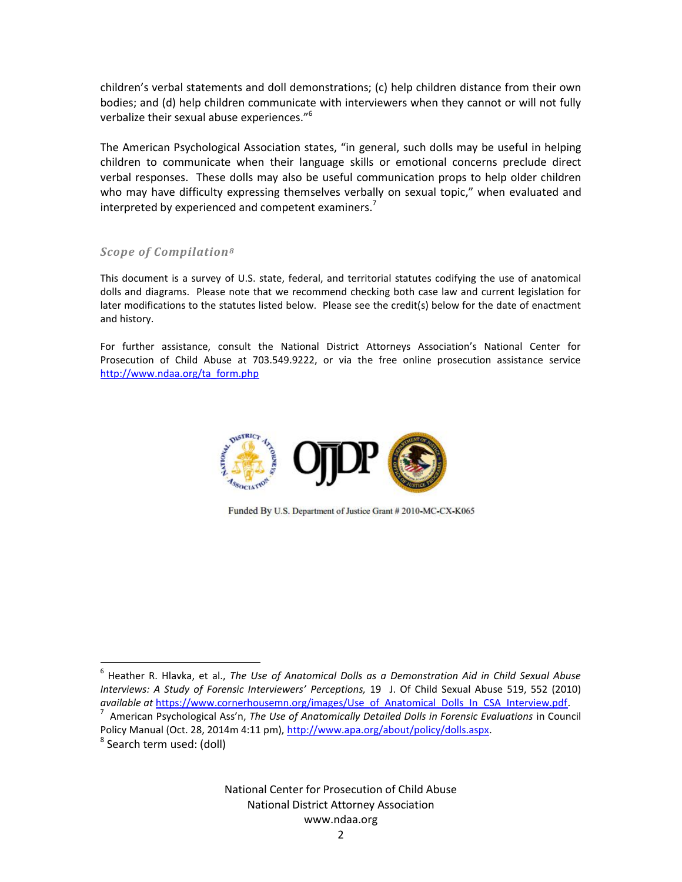children's verbal statements and doll demonstrations; (c) help children distance from their own bodies; and (d) help children communicate with interviewers when they cannot or will not fully verbalize their sexual abuse experiences."<sup>6</sup>

The American Psychological Association states, "in general, such dolls may be useful in helping children to communicate when their language skills or emotional concerns preclude direct verbal responses. These dolls may also be useful communication props to help older children who may have difficulty expressing themselves verbally on sexual topic," when evaluated and interpreted by experienced and competent examiners.<sup>7</sup>

#### *Scope of Compilation<sup>8</sup>*

This document is a survey of U.S. state, federal, and territorial statutes codifying the use of anatomical dolls and diagrams. Please note that we recommend checking both case law and current legislation for later modifications to the statutes listed below. Please see the credit(s) below for the date of enactment and history.

For further assistance, consult the National District Attorneys Association's National Center for Prosecution of Child Abuse at 703.549.9222, or via the free online prosecution assistance service [http://www.ndaa.org/ta\\_form.php](http://www.ndaa.org/ta_form.php)



Funded By U.S. Department of Justice Grant # 2010-MC-CX-K065

6 Heather R. Hlavka, et al., *The Use of Anatomical Dolls as a Demonstration Aid in Child Sexual Abuse Interviews: A Study of Forensic Interviewers' Perceptions,* 19 J. Of Child Sexual Abuse 519, 552 (2010) *available at* [https://www.cornerhousemn.org/images/Use\\_of\\_Anatomical\\_Dolls\\_In\\_CSA\\_Interview.pdf.](https://www.cornerhousemn.org/images/Use_of_Anatomical_Dolls_In_CSA_Interview.pdf)

l

<sup>7</sup> American Psychological Ass'n, *The Use of Anatomically Detailed Dolls in Forensic Evaluations* in Council Policy Manual (Oct. 28, 2014m 4:11 pm), http://www.apa.org/about/policy/dolls.aspx.

<sup>&</sup>lt;sup>8</sup> Search term used: (doll)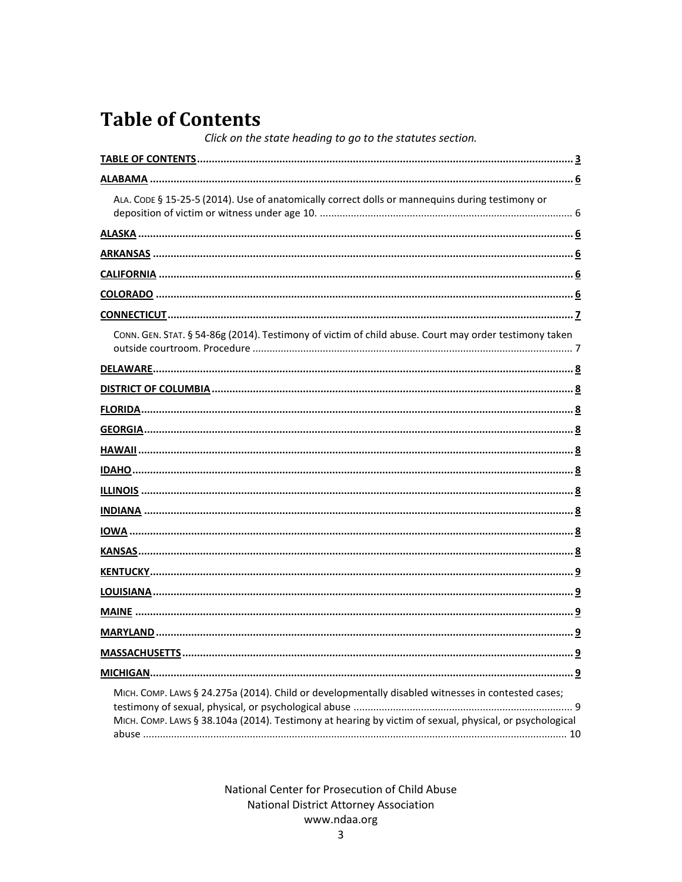# <span id="page-2-0"></span>**Table of Contents**

Click on the state heading to go to the statutes section.

| ALA. CODE § 15-25-5 (2014). Use of anatomically correct dolls or mannequins during testimony or                                                                                                               |
|---------------------------------------------------------------------------------------------------------------------------------------------------------------------------------------------------------------|
|                                                                                                                                                                                                               |
|                                                                                                                                                                                                               |
|                                                                                                                                                                                                               |
|                                                                                                                                                                                                               |
|                                                                                                                                                                                                               |
| CONN. GEN. STAT. § 54-86g (2014). Testimony of victim of child abuse. Court may order testimony taken                                                                                                         |
|                                                                                                                                                                                                               |
|                                                                                                                                                                                                               |
|                                                                                                                                                                                                               |
|                                                                                                                                                                                                               |
|                                                                                                                                                                                                               |
|                                                                                                                                                                                                               |
|                                                                                                                                                                                                               |
|                                                                                                                                                                                                               |
|                                                                                                                                                                                                               |
|                                                                                                                                                                                                               |
|                                                                                                                                                                                                               |
|                                                                                                                                                                                                               |
|                                                                                                                                                                                                               |
|                                                                                                                                                                                                               |
|                                                                                                                                                                                                               |
|                                                                                                                                                                                                               |
| MICH. COMP. LAWS § 24.275a (2014). Child or developmentally disabled witnesses in contested cases;<br>MICH. COMP. LAWS § 38.104a (2014). Testimony at hearing by victim of sexual, physical, or psychological |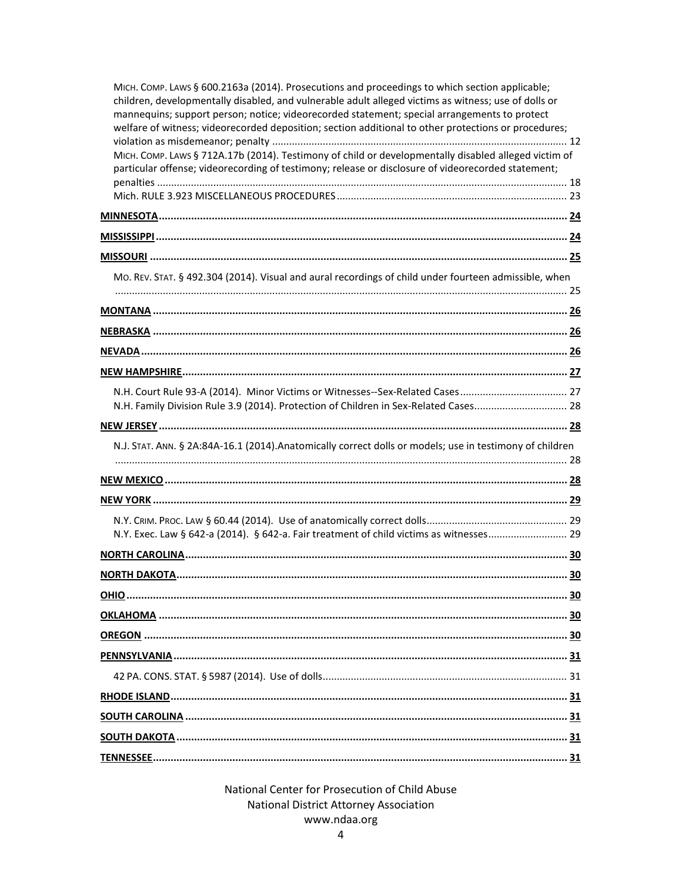| MICH. COMP. LAWS § 600.2163a (2014). Prosecutions and proceedings to which section applicable;<br>children, developmentally disabled, and vulnerable adult alleged victims as witness; use of dolls or<br>mannequins; support person; notice; videorecorded statement; special arrangements to protect<br>welfare of witness; videorecorded deposition; section additional to other protections or procedures; |  |
|----------------------------------------------------------------------------------------------------------------------------------------------------------------------------------------------------------------------------------------------------------------------------------------------------------------------------------------------------------------------------------------------------------------|--|
| MICH. COMP. LAWS § 712A.17b (2014). Testimony of child or developmentally disabled alleged victim of<br>particular offense; videorecording of testimony; release or disclosure of videorecorded statement;                                                                                                                                                                                                     |  |
|                                                                                                                                                                                                                                                                                                                                                                                                                |  |
|                                                                                                                                                                                                                                                                                                                                                                                                                |  |
|                                                                                                                                                                                                                                                                                                                                                                                                                |  |
|                                                                                                                                                                                                                                                                                                                                                                                                                |  |
|                                                                                                                                                                                                                                                                                                                                                                                                                |  |
| Mo. REV. STAT. § 492.304 (2014). Visual and aural recordings of child under fourteen admissible, when                                                                                                                                                                                                                                                                                                          |  |
|                                                                                                                                                                                                                                                                                                                                                                                                                |  |
|                                                                                                                                                                                                                                                                                                                                                                                                                |  |
|                                                                                                                                                                                                                                                                                                                                                                                                                |  |
|                                                                                                                                                                                                                                                                                                                                                                                                                |  |
|                                                                                                                                                                                                                                                                                                                                                                                                                |  |
| N.H. Court Rule 93-A (2014). Minor Victims or Witnesses--Sex-Related Cases 27                                                                                                                                                                                                                                                                                                                                  |  |
| N.H. Family Division Rule 3.9 (2014). Protection of Children in Sex-Related Cases 28                                                                                                                                                                                                                                                                                                                           |  |
|                                                                                                                                                                                                                                                                                                                                                                                                                |  |
| N.J. STAT. Ann. § 2A:84A-16.1 (2014). Anatomically correct dolls or models; use in testimony of children                                                                                                                                                                                                                                                                                                       |  |
|                                                                                                                                                                                                                                                                                                                                                                                                                |  |
|                                                                                                                                                                                                                                                                                                                                                                                                                |  |
|                                                                                                                                                                                                                                                                                                                                                                                                                |  |
|                                                                                                                                                                                                                                                                                                                                                                                                                |  |
| N.Y. Exec. Law § 642-a (2014). § 642-a. Fair treatment of child victims as witnesses 29                                                                                                                                                                                                                                                                                                                        |  |
|                                                                                                                                                                                                                                                                                                                                                                                                                |  |
|                                                                                                                                                                                                                                                                                                                                                                                                                |  |
|                                                                                                                                                                                                                                                                                                                                                                                                                |  |
|                                                                                                                                                                                                                                                                                                                                                                                                                |  |
|                                                                                                                                                                                                                                                                                                                                                                                                                |  |
|                                                                                                                                                                                                                                                                                                                                                                                                                |  |
|                                                                                                                                                                                                                                                                                                                                                                                                                |  |
|                                                                                                                                                                                                                                                                                                                                                                                                                |  |
|                                                                                                                                                                                                                                                                                                                                                                                                                |  |
|                                                                                                                                                                                                                                                                                                                                                                                                                |  |
|                                                                                                                                                                                                                                                                                                                                                                                                                |  |
|                                                                                                                                                                                                                                                                                                                                                                                                                |  |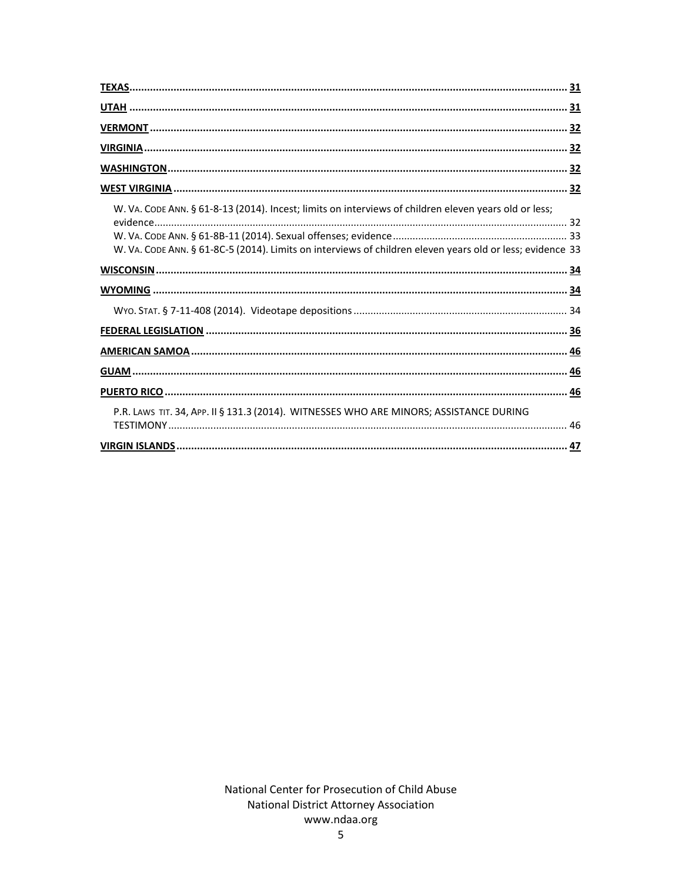| W. VA. CODE ANN. § 61-8-13 (2014). Incest; limits on interviews of children eleven years old or less;<br>W. VA. CODE ANN. § 61-8C-5 (2014). Limits on interviews of children eleven years old or less; evidence 33 |
|--------------------------------------------------------------------------------------------------------------------------------------------------------------------------------------------------------------------|
|                                                                                                                                                                                                                    |
|                                                                                                                                                                                                                    |
|                                                                                                                                                                                                                    |
|                                                                                                                                                                                                                    |
|                                                                                                                                                                                                                    |
|                                                                                                                                                                                                                    |
|                                                                                                                                                                                                                    |
| P.R. LAWS TIT. 34, APP. II § 131.3 (2014). WITNESSES WHO ARE MINORS; ASSISTANCE DURING                                                                                                                             |
|                                                                                                                                                                                                                    |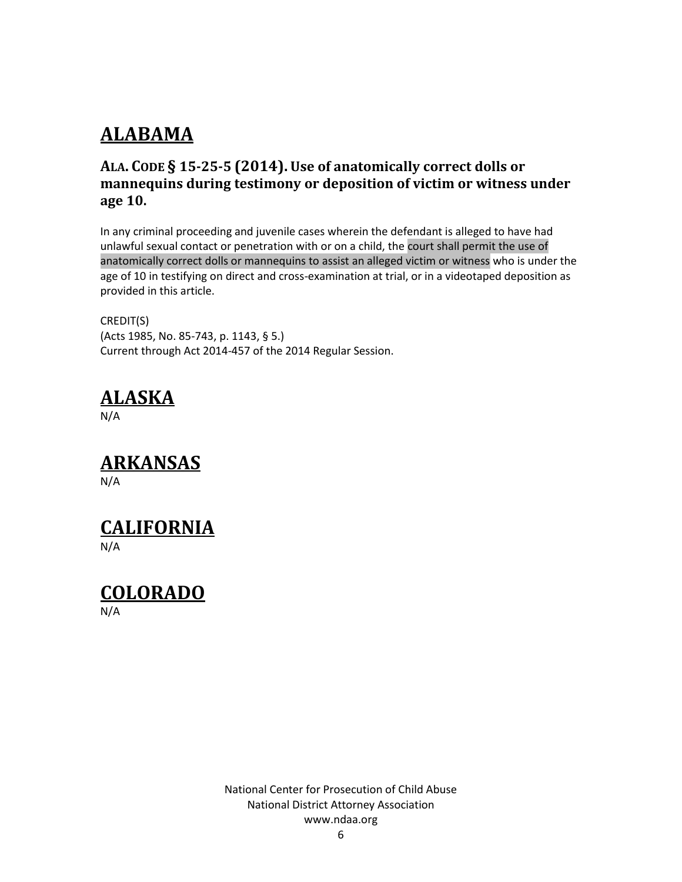# <span id="page-5-0"></span>**ALABAMA**

#### <span id="page-5-1"></span>**ALA. CODE § 15-25-5 (2014). Use of anatomically correct dolls or mannequins during testimony or deposition of victim or witness under age 10.**

In any criminal proceeding and juvenile cases wherein the defendant is alleged to have had unlawful sexual contact or penetration with or on a child, the court shall permit the use of anatomically correct dolls or mannequins to assist an alleged victim or witness who is under the age of 10 in testifying on direct and cross-examination at trial, or in a videotaped deposition as provided in this article.

CREDIT(S) (Acts 1985, No. 85-743, p. 1143, § 5.) Current through Act 2014-457 of the 2014 Regular Session.

# <span id="page-5-2"></span>**ALASKA**

<span id="page-5-3"></span>N/A

#### **ARKANSAS** N/A

# <span id="page-5-4"></span>**CALIFORNIA**

<span id="page-5-5"></span>N/A

# **COLORADO**

<span id="page-5-6"></span>N/A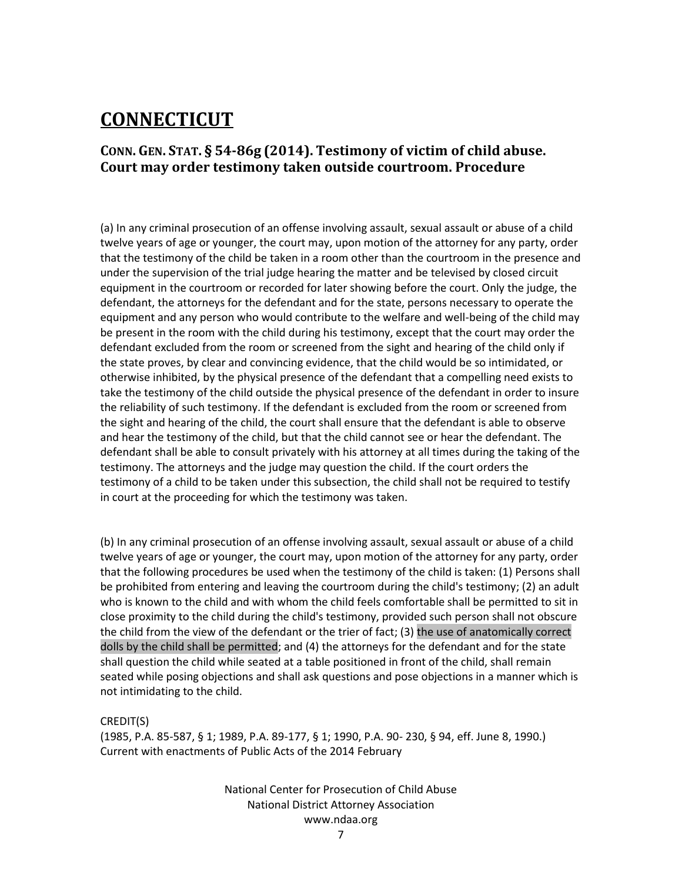# **CONNECTICUT**

#### <span id="page-6-0"></span>**CONN. GEN. STAT. § 54-86g (2014). Testimony of victim of child abuse. Court may order testimony taken outside courtroom. Procedure**

(a) In any criminal prosecution of an offense involving assault, sexual assault or abuse of a child twelve years of age or younger, the court may, upon motion of the attorney for any party, order that the testimony of the child be taken in a room other than the courtroom in the presence and under the supervision of the trial judge hearing the matter and be televised by closed circuit equipment in the courtroom or recorded for later showing before the court. Only the judge, the defendant, the attorneys for the defendant and for the state, persons necessary to operate the equipment and any person who would contribute to the welfare and well-being of the child may be present in the room with the child during his testimony, except that the court may order the defendant excluded from the room or screened from the sight and hearing of the child only if the state proves, by clear and convincing evidence, that the child would be so intimidated, or otherwise inhibited, by the physical presence of the defendant that a compelling need exists to take the testimony of the child outside the physical presence of the defendant in order to insure the reliability of such testimony. If the defendant is excluded from the room or screened from the sight and hearing of the child, the court shall ensure that the defendant is able to observe and hear the testimony of the child, but that the child cannot see or hear the defendant. The defendant shall be able to consult privately with his attorney at all times during the taking of the testimony. The attorneys and the judge may question the child. If the court orders the testimony of a child to be taken under this subsection, the child shall not be required to testify in court at the proceeding for which the testimony was taken.

(b) In any criminal prosecution of an offense involving assault, sexual assault or abuse of a child twelve years of age or younger, the court may, upon motion of the attorney for any party, order that the following procedures be used when the testimony of the child is taken: (1) Persons shall be prohibited from entering and leaving the courtroom during the child's testimony; (2) an adult who is known to the child and with whom the child feels comfortable shall be permitted to sit in close proximity to the child during the child's testimony, provided such person shall not obscure the child from the view of the defendant or the trier of fact; (3) the use of anatomically correct dolls by the child shall be permitted; and (4) the attorneys for the defendant and for the state shall question the child while seated at a table positioned in front of the child, shall remain seated while posing objections and shall ask questions and pose objections in a manner which is not intimidating to the child.

CREDIT(S)

(1985, P.A. 85-587, § 1; 1989, P.A. 89-177, § 1; 1990, P.A. 90- 230, § 94, eff. June 8, 1990.) Current with enactments of Public Acts of the 2014 February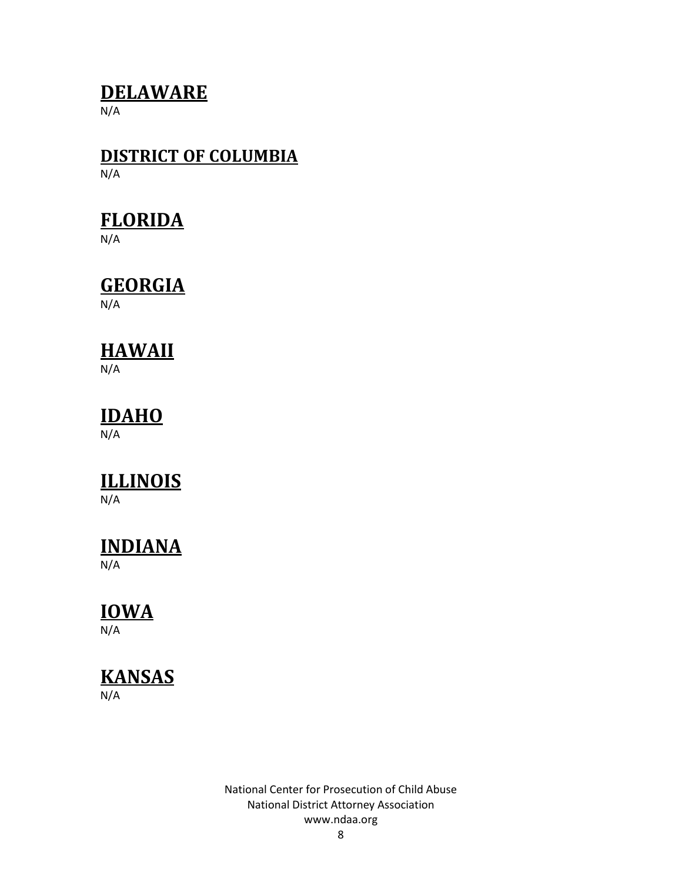### <span id="page-7-0"></span>**DELAWARE**

<span id="page-7-1"></span>N/A

# **DISTRICT OF COLUMBIA**

<span id="page-7-2"></span>N/A

### **FLORIDA**

<span id="page-7-3"></span>N/A

### **GEORGIA**

<span id="page-7-4"></span>N/A

### **HAWAII**

<span id="page-7-5"></span>N/A

# **IDAHO**

<span id="page-7-6"></span> $N/A$ 

## **ILLINOIS**

<span id="page-7-7"></span>N/A

### **INDIANA**

<span id="page-7-8"></span>N/A

## **IOWA**

<span id="page-7-9"></span>N/A

# **KANSAS**

<span id="page-7-10"></span>N/A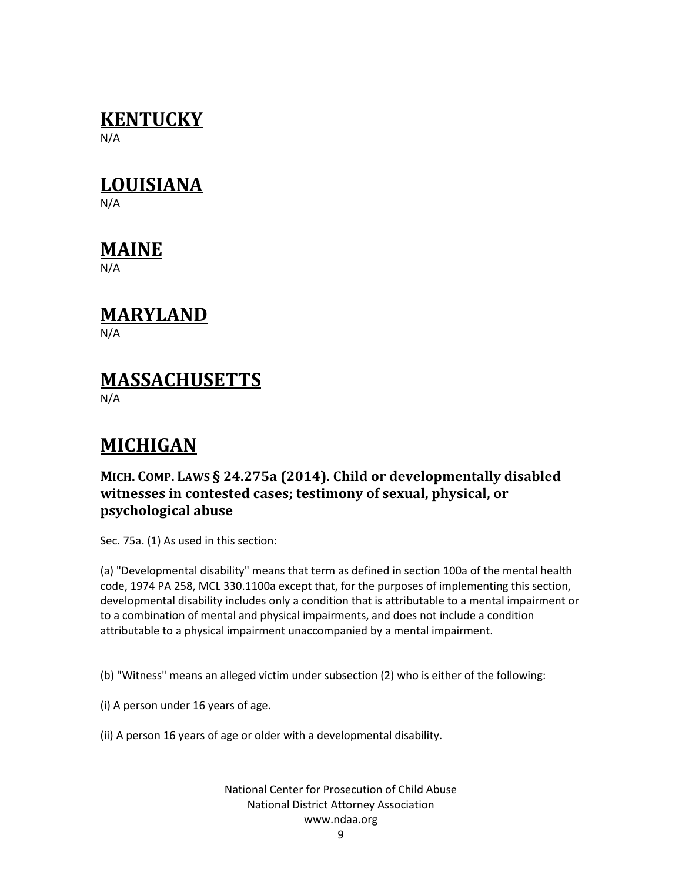### **KENTUCKY**

<span id="page-8-0"></span>N/A

### **LOUISIANA**

<span id="page-8-1"></span>N/A

### **MAINE**

<span id="page-8-2"></span>N/A

### **MARYLAND**

<span id="page-8-3"></span>N/A

## **MASSACHUSETTS**

<span id="page-8-4"></span>N/A

# **MICHIGAN**

#### <span id="page-8-5"></span>**MICH. COMP. LAWS § 24.275a (2014). Child or developmentally disabled witnesses in contested cases; testimony of sexual, physical, or psychological abuse**

Sec. 75a. (1) As used in this section:

(a) "Developmental disability" means that term as defined in section 100a of the mental health code, 1974 PA 258, MCL 330.1100a except that, for the purposes of implementing this section, developmental disability includes only a condition that is attributable to a mental impairment or to a combination of mental and physical impairments, and does not include a condition attributable to a physical impairment unaccompanied by a mental impairment.

(b) "Witness" means an alleged victim under subsection (2) who is either of the following:

- (i) A person under 16 years of age.
- (ii) A person 16 years of age or older with a developmental disability.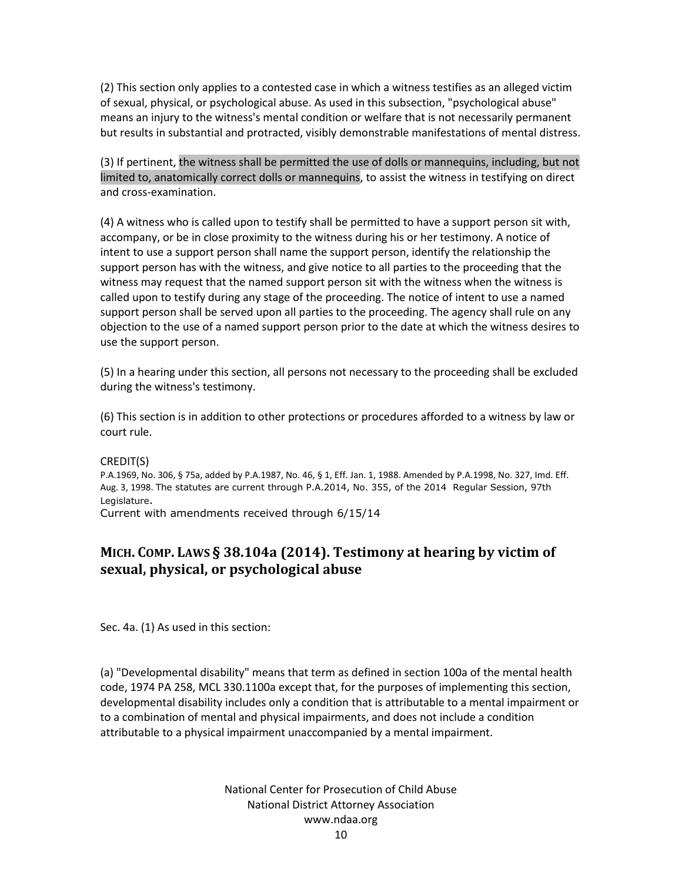(2) This section only applies to a contested case in which a witness testifies as an alleged victim of sexual, physical, or psychological abuse. As used in this subsection, "psychological abuse" means an injury to the witness's mental condition or welfare that is not necessarily permanent but results in substantial and protracted, visibly demonstrable manifestations of mental distress.

(3) If pertinent, the witness shall be permitted the use of dolls or mannequins, including, but not limited to, anatomically correct dolls or mannequins, to assist the witness in testifying on direct and cross-examination.

(4) A witness who is called upon to testify shall be permitted to have a support person sit with, accompany, or be in close proximity to the witness during his or her testimony. A notice of intent to use a support person shall name the support person, identify the relationship the support person has with the witness, and give notice to all parties to the proceeding that the witness may request that the named support person sit with the witness when the witness is called upon to testify during any stage of the proceeding. The notice of intent to use a named support person shall be served upon all parties to the proceeding. The agency shall rule on any objection to the use of a named support person prior to the date at which the witness desires to use the support person.

(5) In a hearing under this section, all persons not necessary to the proceeding shall be excluded during the witness's testimony.

(6) This section is in addition to other protections or procedures afforded to a witness by law or court rule.

#### CREDIT(S)

P.A.1969, No. 306, § 75a, added by P.A.1987, No. 46, § 1, Eff. Jan. 1, 1988. Amended by P.A.1998, No. 327, Imd. Eff. Aug. 3, 1998. The statutes are current through P.A.2014, No. 355, of the 2014 Regular Session, 97th Legislature.

Current with amendments received through 6/15/14

#### <span id="page-9-0"></span>**MICH. COMP. LAWS § 38.104a (2014). Testimony at hearing by victim of sexual, physical, or psychological abuse**

Sec. 4a. (1) As used in this section:

(a) "Developmental disability" means that term as defined in section 100a of the mental health code, 1974 PA 258, MCL 330.1100a except that, for the purposes of implementing this section, developmental disability includes only a condition that is attributable to a mental impairment or to a combination of mental and physical impairments, and does not include a condition attributable to a physical impairment unaccompanied by a mental impairment.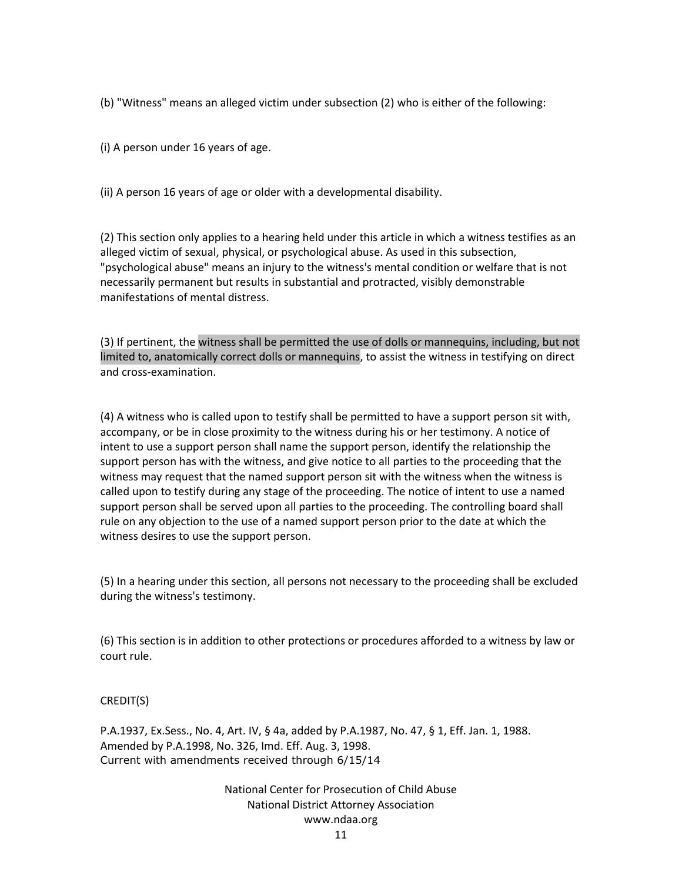(b) "Witness" means an alleged victim under subsection (2) who is either of the following:

(i) A person under 16 years of age.

(ii) A person 16 years of age or older with a developmental disability.

(2) This section only applies to a hearing held under this article in which a witness testifies as an alleged victim of sexual, physical, or psychological abuse. As used in this subsection, "psychological abuse" means an injury to the witness's mental condition or welfare that is not necessarily permanent but results in substantial and protracted, visibly demonstrable manifestations of mental distress.

(3) If pertinent, the witness shall be permitted the use of dolls or mannequins, including, but not limited to, anatomically correct dolls or mannequins, to assist the witness in testifying on direct and cross-examination.

(4) A witness who is called upon to testify shall be permitted to have a support person sit with, accompany, or be in close proximity to the witness during his or her testimony. A notice of intent to use a support person shall name the support person, identify the relationship the support person has with the witness, and give notice to all parties to the proceeding that the witness may request that the named support person sit with the witness when the witness is called upon to testify during any stage of the proceeding. The notice of intent to use a named support person shall be served upon all parties to the proceeding. The controlling board shall rule on any objection to the use of a named support person prior to the date at which the witness desires to use the support person.

(5) In a hearing under this section, all persons not necessary to the proceeding shall be excluded during the witness's testimony.

(6) This section is in addition to other protections or procedures afforded to a witness by law or court rule.

CREDIT(S)

P.A.1937, Ex.Sess., No. 4, Art. IV, § 4a, added by P.A.1987, No. 47, § 1, Eff. Jan. 1, 1988. Amended by P.A.1998, No. 326, Imd. Eff. Aug. 3, 1998. Current with amendments received through 6/15/14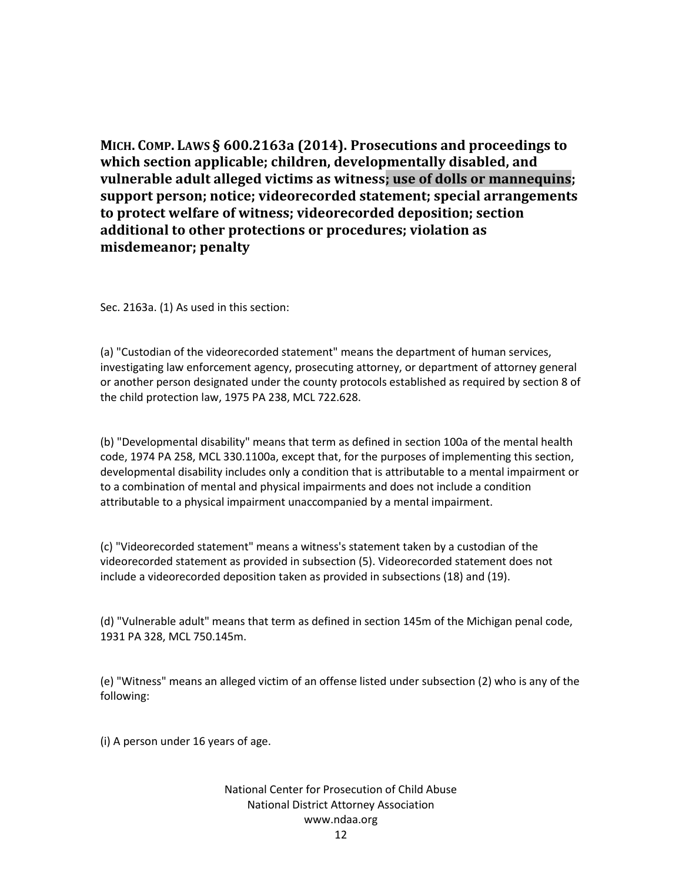<span id="page-11-0"></span>**MICH. COMP. LAWS § 600.2163a (2014). Prosecutions and proceedings to which section applicable; children, developmentally disabled, and vulnerable adult alleged victims as witness; use of dolls or mannequins; support person; notice; videorecorded statement; special arrangements to protect welfare of witness; videorecorded deposition; section additional to other protections or procedures; violation as misdemeanor; penalty**

Sec. 2163a. (1) As used in this section:

(a) "Custodian of the videorecorded statement" means the department of human services, investigating law enforcement agency, prosecuting attorney, or department of attorney general or another person designated under the county protocols established as required by section 8 of the child protection law, 1975 PA 238, MCL 722.628.

(b) "Developmental disability" means that term as defined in section 100a of the mental health code, 1974 PA 258, MCL 330.1100a, except that, for the purposes of implementing this section, developmental disability includes only a condition that is attributable to a mental impairment or to a combination of mental and physical impairments and does not include a condition attributable to a physical impairment unaccompanied by a mental impairment.

(c) "Videorecorded statement" means a witness's statement taken by a custodian of the videorecorded statement as provided in subsection (5). Videorecorded statement does not include a videorecorded deposition taken as provided in subsections (18) and (19).

(d) "Vulnerable adult" means that term as defined in section 145m of the Michigan penal code, 1931 PA 328, MCL 750.145m.

(e) "Witness" means an alleged victim of an offense listed under subsection (2) who is any of the following:

(i) A person under 16 years of age.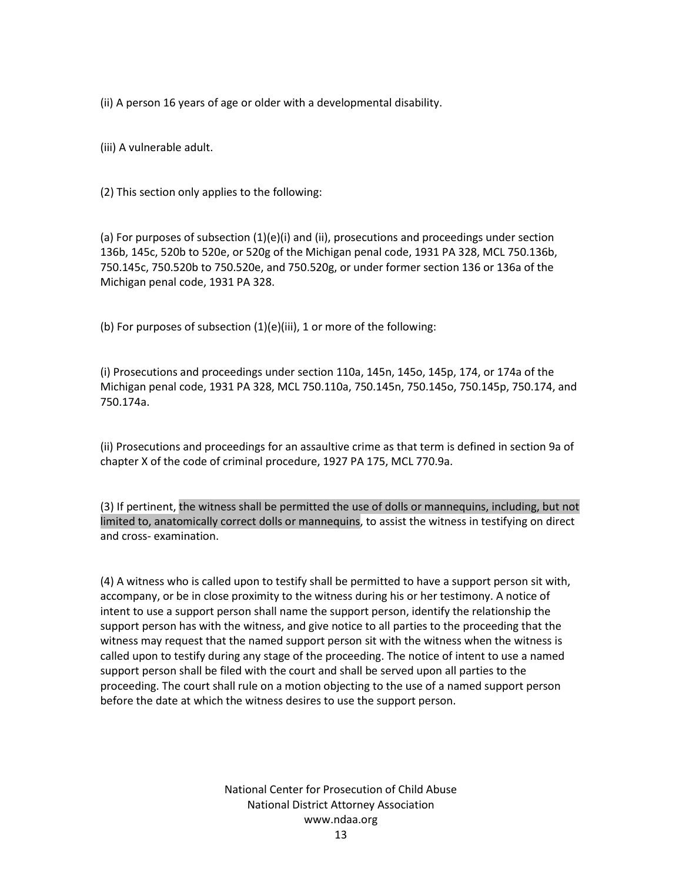(ii) A person 16 years of age or older with a developmental disability.

(iii) A vulnerable adult.

(2) This section only applies to the following:

(a) For purposes of subsection  $(1)(e)(i)$  and  $(ii)$ , prosecutions and proceedings under section 136b, 145c, 520b to 520e, or 520g of the Michigan penal code, 1931 PA 328, MCL 750.136b, 750.145c, 750.520b to 750.520e, and 750.520g, or under former section 136 or 136a of the Michigan penal code, 1931 PA 328.

(b) For purposes of subsection (1)(e)(iii), 1 or more of the following:

(i) Prosecutions and proceedings under section 110a, 145n, 145o, 145p, 174, or 174a of the Michigan penal code, 1931 PA 328, MCL 750.110a, 750.145n, 750.145o, 750.145p, 750.174, and 750.174a.

(ii) Prosecutions and proceedings for an assaultive crime as that term is defined in section 9a of chapter X of the code of criminal procedure, 1927 PA 175, MCL 770.9a.

(3) If pertinent, the witness shall be permitted the use of dolls or mannequins, including, but not limited to, anatomically correct dolls or mannequins, to assist the witness in testifying on direct and cross- examination.

(4) A witness who is called upon to testify shall be permitted to have a support person sit with, accompany, or be in close proximity to the witness during his or her testimony. A notice of intent to use a support person shall name the support person, identify the relationship the support person has with the witness, and give notice to all parties to the proceeding that the witness may request that the named support person sit with the witness when the witness is called upon to testify during any stage of the proceeding. The notice of intent to use a named support person shall be filed with the court and shall be served upon all parties to the proceeding. The court shall rule on a motion objecting to the use of a named support person before the date at which the witness desires to use the support person.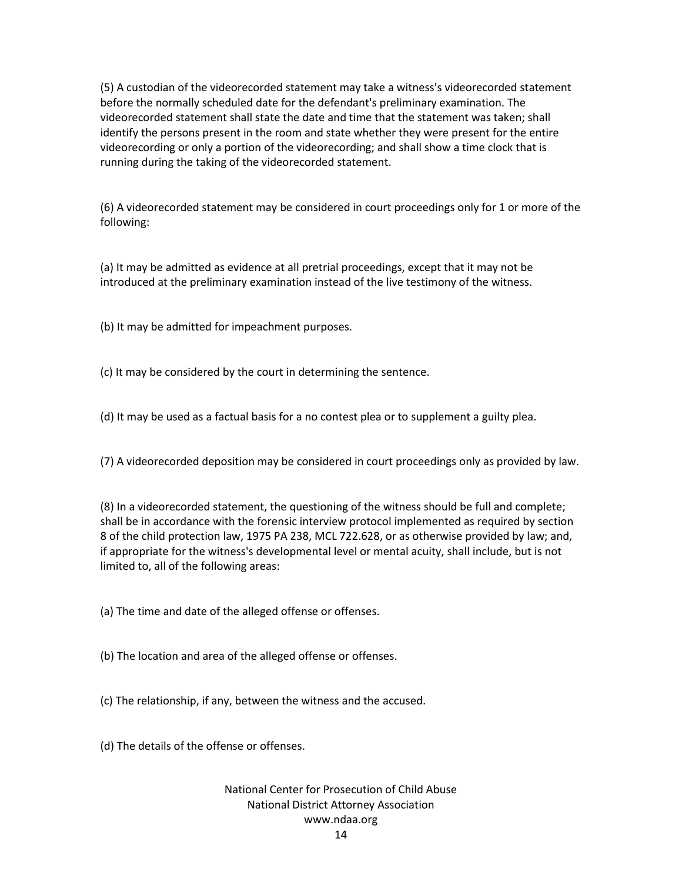(5) A custodian of the videorecorded statement may take a witness's videorecorded statement before the normally scheduled date for the defendant's preliminary examination. The videorecorded statement shall state the date and time that the statement was taken; shall identify the persons present in the room and state whether they were present for the entire videorecording or only a portion of the videorecording; and shall show a time clock that is running during the taking of the videorecorded statement.

(6) A videorecorded statement may be considered in court proceedings only for 1 or more of the following:

(a) It may be admitted as evidence at all pretrial proceedings, except that it may not be introduced at the preliminary examination instead of the live testimony of the witness.

(b) It may be admitted for impeachment purposes.

(c) It may be considered by the court in determining the sentence.

(d) It may be used as a factual basis for a no contest plea or to supplement a guilty plea.

(7) A videorecorded deposition may be considered in court proceedings only as provided by law.

(8) In a videorecorded statement, the questioning of the witness should be full and complete; shall be in accordance with the forensic interview protocol implemented as required by section 8 of the child protection law, 1975 PA 238, MCL 722.628, or as otherwise provided by law; and, if appropriate for the witness's developmental level or mental acuity, shall include, but is not limited to, all of the following areas:

(a) The time and date of the alleged offense or offenses.

(b) The location and area of the alleged offense or offenses.

(c) The relationship, if any, between the witness and the accused.

(d) The details of the offense or offenses.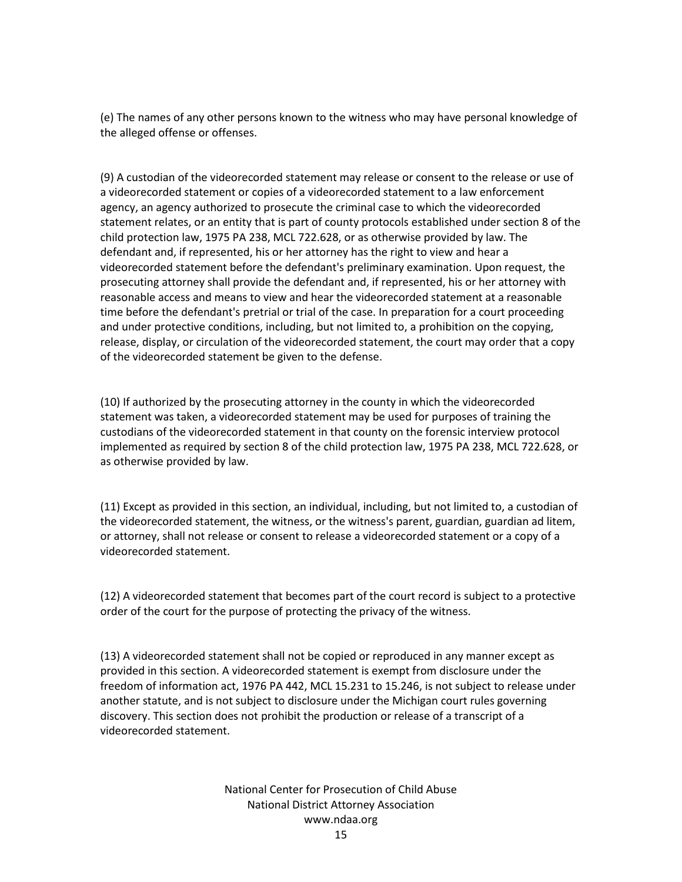(e) The names of any other persons known to the witness who may have personal knowledge of the alleged offense or offenses.

(9) A custodian of the videorecorded statement may release or consent to the release or use of a videorecorded statement or copies of a videorecorded statement to a law enforcement agency, an agency authorized to prosecute the criminal case to which the videorecorded statement relates, or an entity that is part of county protocols established under section 8 of the child protection law, 1975 PA 238, MCL 722.628, or as otherwise provided by law. The defendant and, if represented, his or her attorney has the right to view and hear a videorecorded statement before the defendant's preliminary examination. Upon request, the prosecuting attorney shall provide the defendant and, if represented, his or her attorney with reasonable access and means to view and hear the videorecorded statement at a reasonable time before the defendant's pretrial or trial of the case. In preparation for a court proceeding and under protective conditions, including, but not limited to, a prohibition on the copying, release, display, or circulation of the videorecorded statement, the court may order that a copy of the videorecorded statement be given to the defense.

(10) If authorized by the prosecuting attorney in the county in which the videorecorded statement was taken, a videorecorded statement may be used for purposes of training the custodians of the videorecorded statement in that county on the forensic interview protocol implemented as required by section 8 of the child protection law, 1975 PA 238, MCL 722.628, or as otherwise provided by law.

(11) Except as provided in this section, an individual, including, but not limited to, a custodian of the videorecorded statement, the witness, or the witness's parent, guardian, guardian ad litem, or attorney, shall not release or consent to release a videorecorded statement or a copy of a videorecorded statement.

(12) A videorecorded statement that becomes part of the court record is subject to a protective order of the court for the purpose of protecting the privacy of the witness.

(13) A videorecorded statement shall not be copied or reproduced in any manner except as provided in this section. A videorecorded statement is exempt from disclosure under the freedom of information act, 1976 PA 442, MCL 15.231 to 15.246, is not subject to release under another statute, and is not subject to disclosure under the Michigan court rules governing discovery. This section does not prohibit the production or release of a transcript of a videorecorded statement.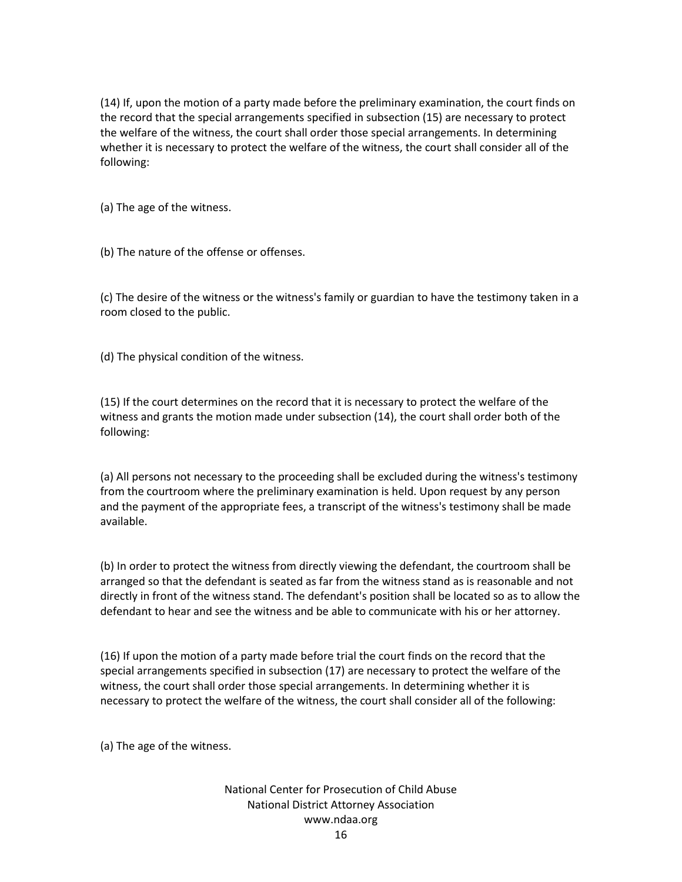(14) If, upon the motion of a party made before the preliminary examination, the court finds on the record that the special arrangements specified in subsection (15) are necessary to protect the welfare of the witness, the court shall order those special arrangements. In determining whether it is necessary to protect the welfare of the witness, the court shall consider all of the following:

(a) The age of the witness.

(b) The nature of the offense or offenses.

(c) The desire of the witness or the witness's family or guardian to have the testimony taken in a room closed to the public.

(d) The physical condition of the witness.

(15) If the court determines on the record that it is necessary to protect the welfare of the witness and grants the motion made under subsection (14), the court shall order both of the following:

(a) All persons not necessary to the proceeding shall be excluded during the witness's testimony from the courtroom where the preliminary examination is held. Upon request by any person and the payment of the appropriate fees, a transcript of the witness's testimony shall be made available.

(b) In order to protect the witness from directly viewing the defendant, the courtroom shall be arranged so that the defendant is seated as far from the witness stand as is reasonable and not directly in front of the witness stand. The defendant's position shall be located so as to allow the defendant to hear and see the witness and be able to communicate with his or her attorney.

(16) If upon the motion of a party made before trial the court finds on the record that the special arrangements specified in subsection (17) are necessary to protect the welfare of the witness, the court shall order those special arrangements. In determining whether it is necessary to protect the welfare of the witness, the court shall consider all of the following:

(a) The age of the witness.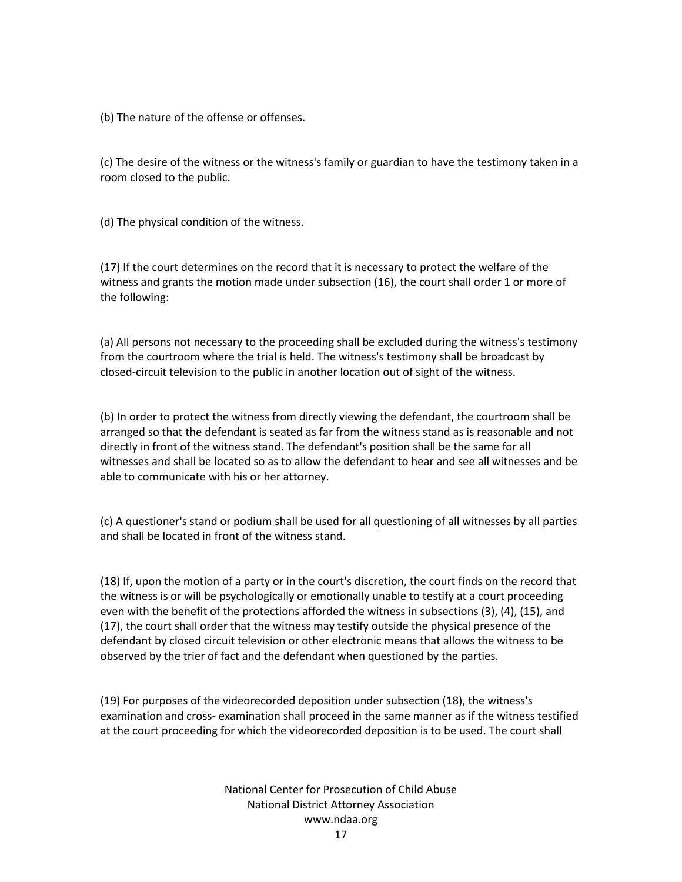(b) The nature of the offense or offenses.

(c) The desire of the witness or the witness's family or guardian to have the testimony taken in a room closed to the public.

(d) The physical condition of the witness.

(17) If the court determines on the record that it is necessary to protect the welfare of the witness and grants the motion made under subsection (16), the court shall order 1 or more of the following:

(a) All persons not necessary to the proceeding shall be excluded during the witness's testimony from the courtroom where the trial is held. The witness's testimony shall be broadcast by closed-circuit television to the public in another location out of sight of the witness.

(b) In order to protect the witness from directly viewing the defendant, the courtroom shall be arranged so that the defendant is seated as far from the witness stand as is reasonable and not directly in front of the witness stand. The defendant's position shall be the same for all witnesses and shall be located so as to allow the defendant to hear and see all witnesses and be able to communicate with his or her attorney.

(c) A questioner's stand or podium shall be used for all questioning of all witnesses by all parties and shall be located in front of the witness stand.

(18) If, upon the motion of a party or in the court's discretion, the court finds on the record that the witness is or will be psychologically or emotionally unable to testify at a court proceeding even with the benefit of the protections afforded the witness in subsections (3), (4), (15), and (17), the court shall order that the witness may testify outside the physical presence of the defendant by closed circuit television or other electronic means that allows the witness to be observed by the trier of fact and the defendant when questioned by the parties.

(19) For purposes of the videorecorded deposition under subsection (18), the witness's examination and cross- examination shall proceed in the same manner as if the witness testified at the court proceeding for which the videorecorded deposition is to be used. The court shall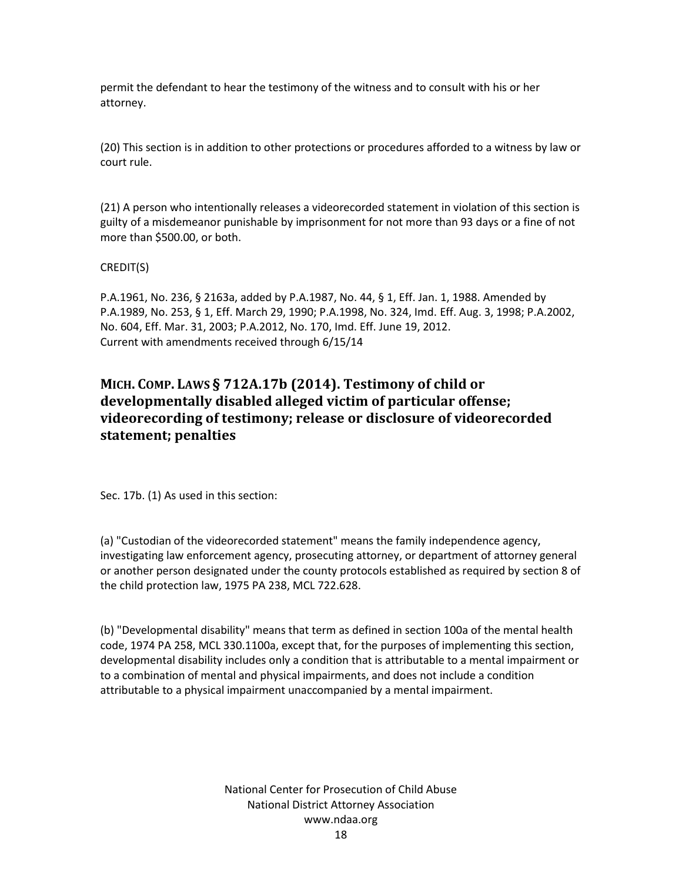permit the defendant to hear the testimony of the witness and to consult with his or her attorney.

(20) This section is in addition to other protections or procedures afforded to a witness by law or court rule.

(21) A person who intentionally releases a videorecorded statement in violation of this section is guilty of a misdemeanor punishable by imprisonment for not more than 93 days or a fine of not more than \$500.00, or both.

CREDIT(S)

P.A.1961, No. 236, § 2163a, added by P.A.1987, No. 44, § 1, Eff. Jan. 1, 1988. Amended by P.A.1989, No. 253, § 1, Eff. March 29, 1990; P.A.1998, No. 324, Imd. Eff. Aug. 3, 1998; P.A.2002, No. 604, Eff. Mar. 31, 2003; P.A.2012, No. 170, Imd. Eff. June 19, 2012. Current with amendments received through 6/15/14

#### <span id="page-17-0"></span>**MICH. COMP. LAWS § 712A.17b (2014). Testimony of child or developmentally disabled alleged victim of particular offense; videorecording of testimony; release or disclosure of videorecorded statement; penalties**

Sec. 17b. (1) As used in this section:

(a) "Custodian of the videorecorded statement" means the family independence agency, investigating law enforcement agency, prosecuting attorney, or department of attorney general or another person designated under the county protocols established as required by section 8 of the child protection law, 1975 PA 238, MCL 722.628.

(b) "Developmental disability" means that term as defined in section 100a of the mental health code, 1974 PA 258, MCL 330.1100a, except that, for the purposes of implementing this section, developmental disability includes only a condition that is attributable to a mental impairment or to a combination of mental and physical impairments, and does not include a condition attributable to a physical impairment unaccompanied by a mental impairment.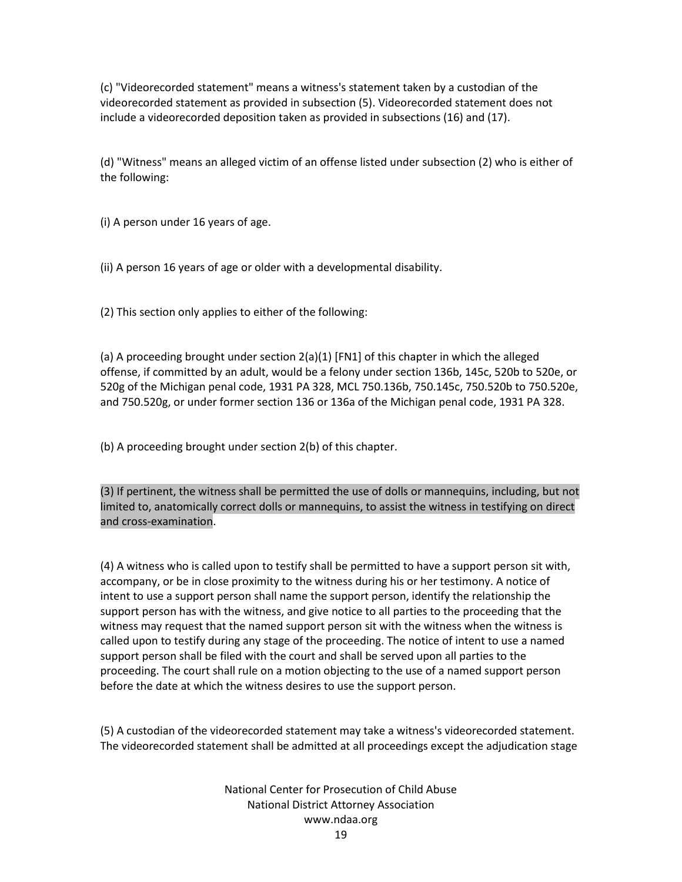(c) "Videorecorded statement" means a witness's statement taken by a custodian of the videorecorded statement as provided in subsection (5). Videorecorded statement does not include a videorecorded deposition taken as provided in subsections (16) and (17).

(d) "Witness" means an alleged victim of an offense listed under subsection (2) who is either of the following:

(i) A person under 16 years of age.

(ii) A person 16 years of age or older with a developmental disability.

(2) This section only applies to either of the following:

(a) A proceeding brought under section 2(a)(1) [FN1] of this chapter in which the alleged offense, if committed by an adult, would be a felony under section 136b, 145c, 520b to 520e, or 520g of the Michigan penal code, 1931 PA 328, MCL 750.136b, 750.145c, 750.520b to 750.520e, and 750.520g, or under former section 136 or 136a of the Michigan penal code, 1931 PA 328.

(b) A proceeding brought under section 2(b) of this chapter.

(3) If pertinent, the witness shall be permitted the use of dolls or mannequins, including, but not limited to, anatomically correct dolls or mannequins, to assist the witness in testifying on direct and cross-examination.

(4) A witness who is called upon to testify shall be permitted to have a support person sit with, accompany, or be in close proximity to the witness during his or her testimony. A notice of intent to use a support person shall name the support person, identify the relationship the support person has with the witness, and give notice to all parties to the proceeding that the witness may request that the named support person sit with the witness when the witness is called upon to testify during any stage of the proceeding. The notice of intent to use a named support person shall be filed with the court and shall be served upon all parties to the proceeding. The court shall rule on a motion objecting to the use of a named support person before the date at which the witness desires to use the support person.

(5) A custodian of the videorecorded statement may take a witness's videorecorded statement. The videorecorded statement shall be admitted at all proceedings except the adjudication stage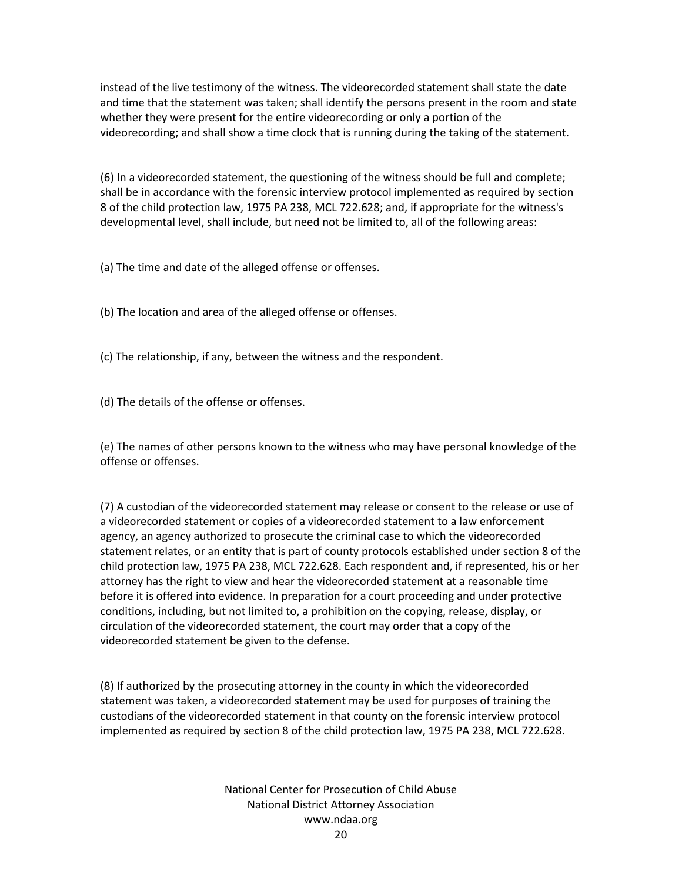instead of the live testimony of the witness. The videorecorded statement shall state the date and time that the statement was taken; shall identify the persons present in the room and state whether they were present for the entire videorecording or only a portion of the videorecording; and shall show a time clock that is running during the taking of the statement.

(6) In a videorecorded statement, the questioning of the witness should be full and complete; shall be in accordance with the forensic interview protocol implemented as required by section 8 of the child protection law, 1975 PA 238, MCL 722.628; and, if appropriate for the witness's developmental level, shall include, but need not be limited to, all of the following areas:

(a) The time and date of the alleged offense or offenses.

- (b) The location and area of the alleged offense or offenses.
- (c) The relationship, if any, between the witness and the respondent.
- (d) The details of the offense or offenses.

(e) The names of other persons known to the witness who may have personal knowledge of the offense or offenses.

(7) A custodian of the videorecorded statement may release or consent to the release or use of a videorecorded statement or copies of a videorecorded statement to a law enforcement agency, an agency authorized to prosecute the criminal case to which the videorecorded statement relates, or an entity that is part of county protocols established under section 8 of the child protection law, 1975 PA 238, MCL 722.628. Each respondent and, if represented, his or her attorney has the right to view and hear the videorecorded statement at a reasonable time before it is offered into evidence. In preparation for a court proceeding and under protective conditions, including, but not limited to, a prohibition on the copying, release, display, or circulation of the videorecorded statement, the court may order that a copy of the videorecorded statement be given to the defense.

(8) If authorized by the prosecuting attorney in the county in which the videorecorded statement was taken, a videorecorded statement may be used for purposes of training the custodians of the videorecorded statement in that county on the forensic interview protocol implemented as required by section 8 of the child protection law, 1975 PA 238, MCL 722.628.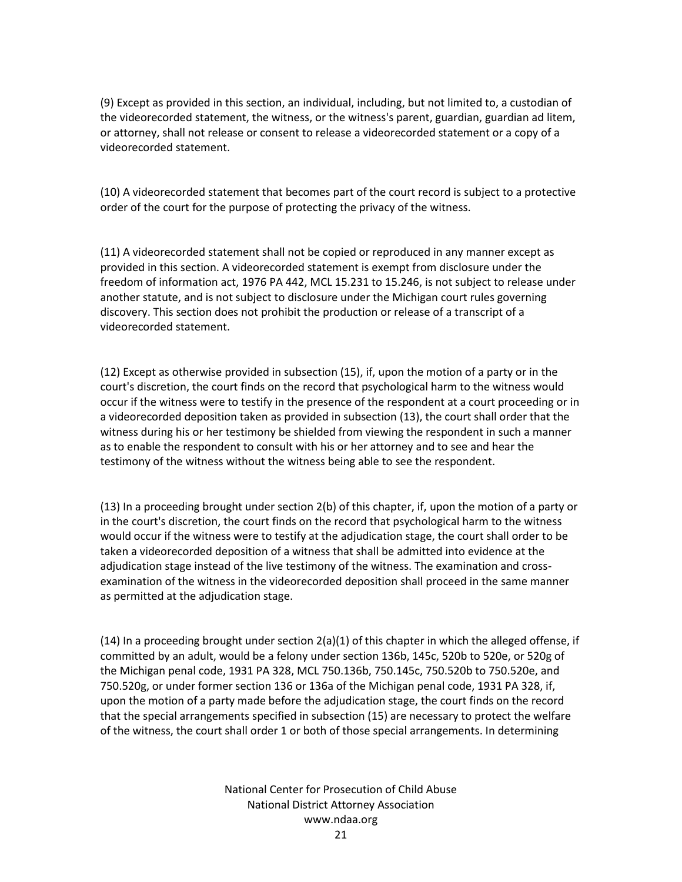(9) Except as provided in this section, an individual, including, but not limited to, a custodian of the videorecorded statement, the witness, or the witness's parent, guardian, guardian ad litem, or attorney, shall not release or consent to release a videorecorded statement or a copy of a videorecorded statement.

(10) A videorecorded statement that becomes part of the court record is subject to a protective order of the court for the purpose of protecting the privacy of the witness.

(11) A videorecorded statement shall not be copied or reproduced in any manner except as provided in this section. A videorecorded statement is exempt from disclosure under the freedom of information act, 1976 PA 442, MCL 15.231 to 15.246, is not subject to release under another statute, and is not subject to disclosure under the Michigan court rules governing discovery. This section does not prohibit the production or release of a transcript of a videorecorded statement.

(12) Except as otherwise provided in subsection (15), if, upon the motion of a party or in the court's discretion, the court finds on the record that psychological harm to the witness would occur if the witness were to testify in the presence of the respondent at a court proceeding or in a videorecorded deposition taken as provided in subsection (13), the court shall order that the witness during his or her testimony be shielded from viewing the respondent in such a manner as to enable the respondent to consult with his or her attorney and to see and hear the testimony of the witness without the witness being able to see the respondent.

(13) In a proceeding brought under section 2(b) of this chapter, if, upon the motion of a party or in the court's discretion, the court finds on the record that psychological harm to the witness would occur if the witness were to testify at the adjudication stage, the court shall order to be taken a videorecorded deposition of a witness that shall be admitted into evidence at the adjudication stage instead of the live testimony of the witness. The examination and crossexamination of the witness in the videorecorded deposition shall proceed in the same manner as permitted at the adjudication stage.

 $(14)$  In a proceeding brought under section  $2(a)(1)$  of this chapter in which the alleged offense, if committed by an adult, would be a felony under section 136b, 145c, 520b to 520e, or 520g of the Michigan penal code, 1931 PA 328, MCL 750.136b, 750.145c, 750.520b to 750.520e, and 750.520g, or under former section 136 or 136a of the Michigan penal code, 1931 PA 328, if, upon the motion of a party made before the adjudication stage, the court finds on the record that the special arrangements specified in subsection (15) are necessary to protect the welfare of the witness, the court shall order 1 or both of those special arrangements. In determining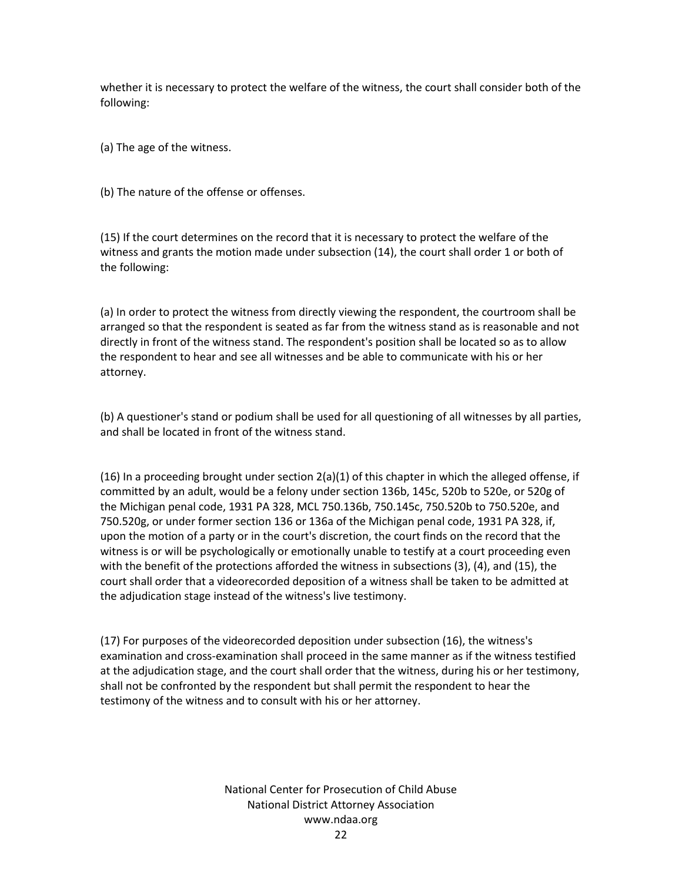whether it is necessary to protect the welfare of the witness, the court shall consider both of the following:

(a) The age of the witness.

(b) The nature of the offense or offenses.

(15) If the court determines on the record that it is necessary to protect the welfare of the witness and grants the motion made under subsection (14), the court shall order 1 or both of the following:

(a) In order to protect the witness from directly viewing the respondent, the courtroom shall be arranged so that the respondent is seated as far from the witness stand as is reasonable and not directly in front of the witness stand. The respondent's position shall be located so as to allow the respondent to hear and see all witnesses and be able to communicate with his or her attorney.

(b) A questioner's stand or podium shall be used for all questioning of all witnesses by all parties, and shall be located in front of the witness stand.

 $(16)$  In a proceeding brought under section  $2(a)(1)$  of this chapter in which the alleged offense, if committed by an adult, would be a felony under section 136b, 145c, 520b to 520e, or 520g of the Michigan penal code, 1931 PA 328, MCL 750.136b, 750.145c, 750.520b to 750.520e, and 750.520g, or under former section 136 or 136a of the Michigan penal code, 1931 PA 328, if, upon the motion of a party or in the court's discretion, the court finds on the record that the witness is or will be psychologically or emotionally unable to testify at a court proceeding even with the benefit of the protections afforded the witness in subsections (3), (4), and (15), the court shall order that a videorecorded deposition of a witness shall be taken to be admitted at the adjudication stage instead of the witness's live testimony.

(17) For purposes of the videorecorded deposition under subsection (16), the witness's examination and cross-examination shall proceed in the same manner as if the witness testified at the adjudication stage, and the court shall order that the witness, during his or her testimony, shall not be confronted by the respondent but shall permit the respondent to hear the testimony of the witness and to consult with his or her attorney.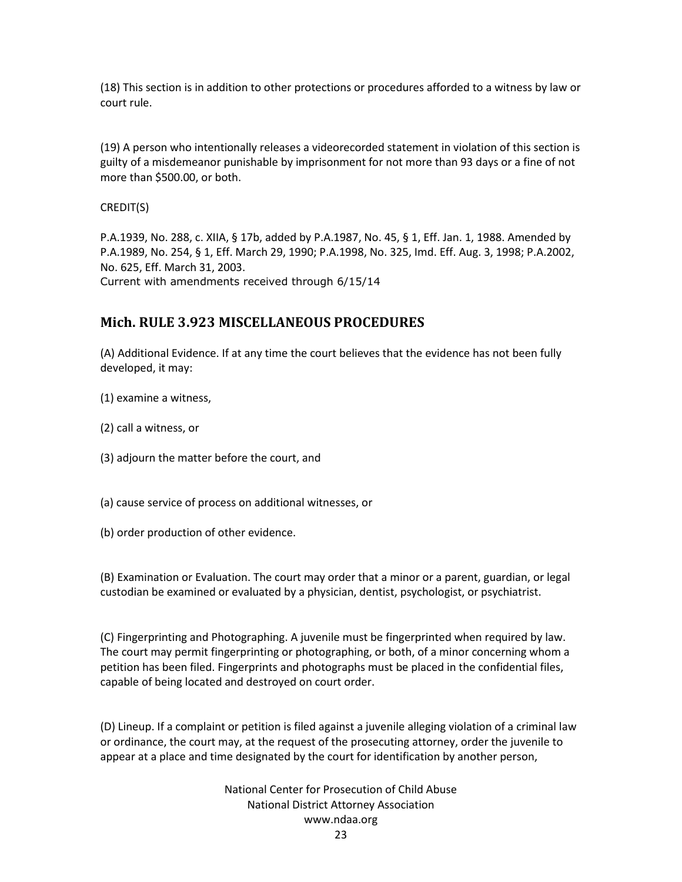(18) This section is in addition to other protections or procedures afforded to a witness by law or court rule.

(19) A person who intentionally releases a videorecorded statement in violation of this section is guilty of a misdemeanor punishable by imprisonment for not more than 93 days or a fine of not more than \$500.00, or both.

CREDIT(S)

P.A.1939, No. 288, c. XIIA, § 17b, added by P.A.1987, No. 45, § 1, Eff. Jan. 1, 1988. Amended by P.A.1989, No. 254, § 1, Eff. March 29, 1990; P.A.1998, No. 325, Imd. Eff. Aug. 3, 1998; P.A.2002, No. 625, Eff. March 31, 2003. Current with amendments received through 6/15/14

#### <span id="page-22-0"></span>**Mich. RULE 3.923 MISCELLANEOUS PROCEDURES**

(A) Additional Evidence. If at any time the court believes that the evidence has not been fully developed, it may:

(1) examine a witness,

(2) call a witness, or

(3) adjourn the matter before the court, and

(a) cause service of process on additional witnesses, or

(b) order production of other evidence.

(B) Examination or Evaluation. The court may order that a minor or a parent, guardian, or legal custodian be examined or evaluated by a physician, dentist, psychologist, or psychiatrist.

(C) Fingerprinting and Photographing. A juvenile must be fingerprinted when required by law. The court may permit fingerprinting or photographing, or both, of a minor concerning whom a petition has been filed. Fingerprints and photographs must be placed in the confidential files, capable of being located and destroyed on court order.

(D) Lineup. If a complaint or petition is filed against a juvenile alleging violation of a criminal law or ordinance, the court may, at the request of the prosecuting attorney, order the juvenile to appear at a place and time designated by the court for identification by another person,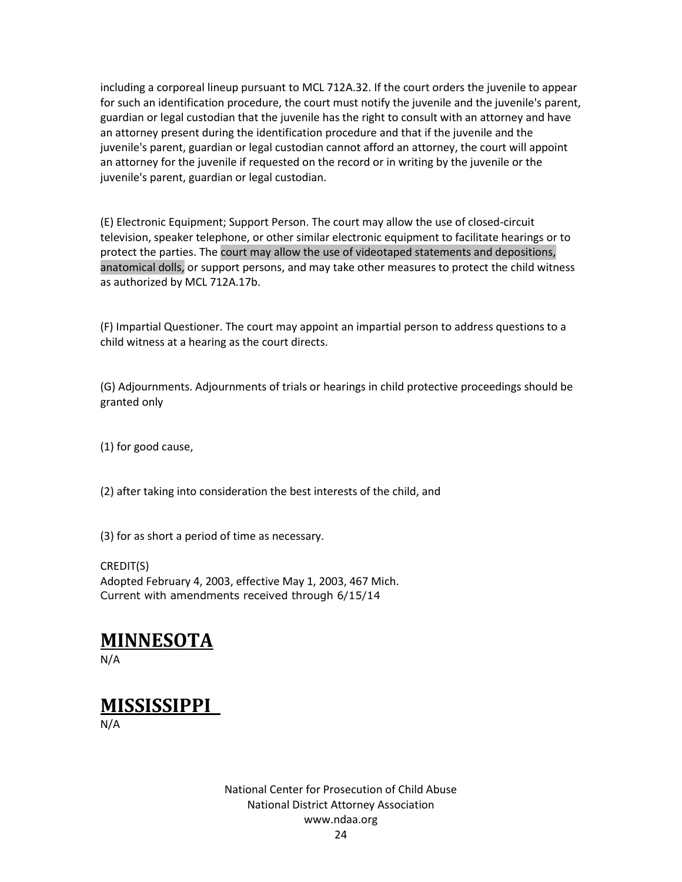including a corporeal lineup pursuant to MCL 712A.32. If the court orders the juvenile to appear for such an identification procedure, the court must notify the juvenile and the juvenile's parent, guardian or legal custodian that the juvenile has the right to consult with an attorney and have an attorney present during the identification procedure and that if the juvenile and the juvenile's parent, guardian or legal custodian cannot afford an attorney, the court will appoint an attorney for the juvenile if requested on the record or in writing by the juvenile or the juvenile's parent, guardian or legal custodian.

(E) Electronic Equipment; Support Person. The court may allow the use of closed-circuit television, speaker telephone, or other similar electronic equipment to facilitate hearings or to protect the parties. The court may allow the use of videotaped statements and depositions, anatomical dolls, or support persons, and may take other measures to protect the child witness as authorized by MCL 712A.17b.

(F) Impartial Questioner. The court may appoint an impartial person to address questions to a child witness at a hearing as the court directs.

(G) Adjournments. Adjournments of trials or hearings in child protective proceedings should be granted only

(1) for good cause,

(2) after taking into consideration the best interests of the child, and

(3) for as short a period of time as necessary.

CREDIT(S) Adopted February 4, 2003, effective May 1, 2003, 467 Mich. Current with amendments received through 6/15/14

# <span id="page-23-0"></span>**MINNESOTA**

<span id="page-23-1"></span>N/A

### **MISSISSIPPI**

N/A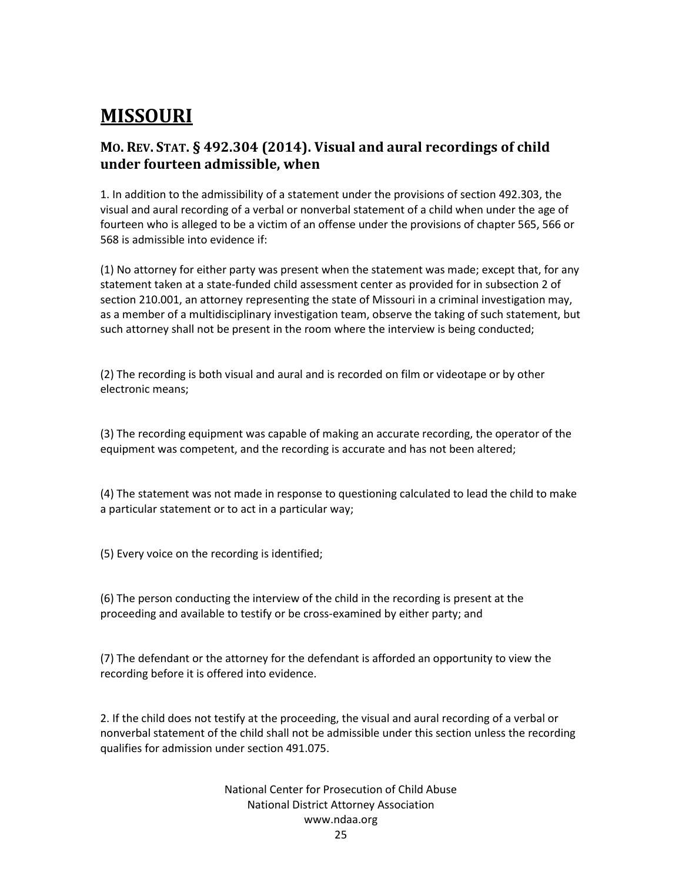# <span id="page-24-0"></span>**MISSOURI**

#### <span id="page-24-1"></span>**MO. REV. STAT. § 492.304 (2014). Visual and aural recordings of child under fourteen admissible, when**

1. In addition to the admissibility of a statement under the provisions of section 492.303, the visual and aural recording of a verbal or nonverbal statement of a child when under the age of fourteen who is alleged to be a victim of an offense under the provisions of chapter 565, 566 or 568 is admissible into evidence if:

(1) No attorney for either party was present when the statement was made; except that, for any statement taken at a state-funded child assessment center as provided for in subsection 2 of section 210.001, an attorney representing the state of Missouri in a criminal investigation may, as a member of a multidisciplinary investigation team, observe the taking of such statement, but such attorney shall not be present in the room where the interview is being conducted;

(2) The recording is both visual and aural and is recorded on film or videotape or by other electronic means;

(3) The recording equipment was capable of making an accurate recording, the operator of the equipment was competent, and the recording is accurate and has not been altered;

(4) The statement was not made in response to questioning calculated to lead the child to make a particular statement or to act in a particular way;

(5) Every voice on the recording is identified;

(6) The person conducting the interview of the child in the recording is present at the proceeding and available to testify or be cross-examined by either party; and

(7) The defendant or the attorney for the defendant is afforded an opportunity to view the recording before it is offered into evidence.

2. If the child does not testify at the proceeding, the visual and aural recording of a verbal or nonverbal statement of the child shall not be admissible under this section unless the recording qualifies for admission under section 491.075.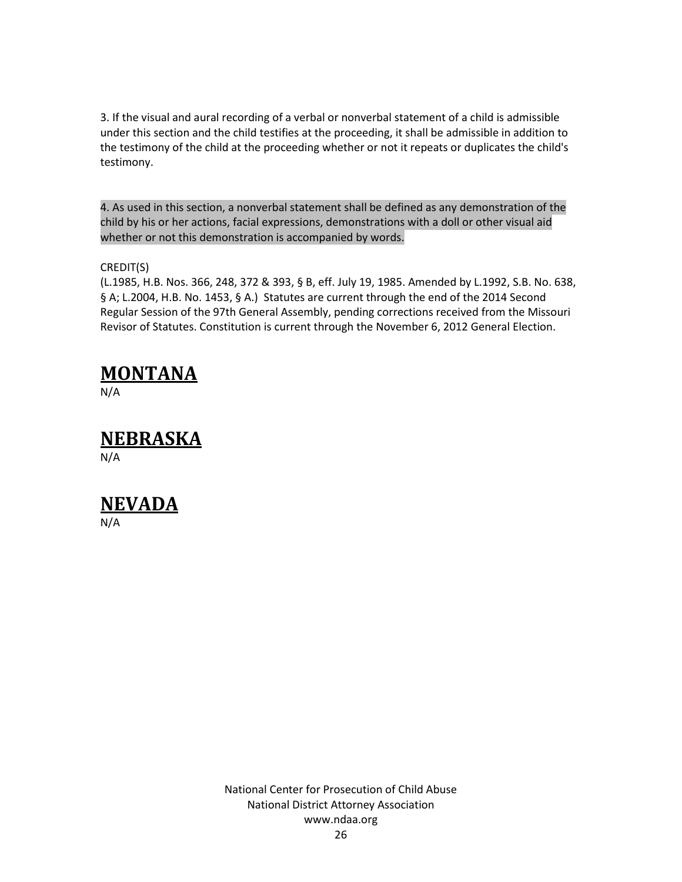3. If the visual and aural recording of a verbal or nonverbal statement of a child is admissible under this section and the child testifies at the proceeding, it shall be admissible in addition to the testimony of the child at the proceeding whether or not it repeats or duplicates the child's testimony.

4. As used in this section, a nonverbal statement shall be defined as any demonstration of the child by his or her actions, facial expressions, demonstrations with a doll or other visual aid whether or not this demonstration is accompanied by words.

#### CREDIT(S)

(L.1985, H.B. Nos. 366, 248, 372 & 393, § B, eff. July 19, 1985. Amended by L.1992, S.B. No. 638, § A; L.2004, H.B. No. 1453, § A.) Statutes are current through the end of the 2014 Second Regular Session of the 97th General Assembly, pending corrections received from the Missouri Revisor of Statutes. Constitution is current through the November 6, 2012 General Election.

### <span id="page-25-0"></span>**MONTANA**

<span id="page-25-1"></span>N/A

# **NEBRASKA**

<span id="page-25-2"></span>N/A

### **NEVADA**

N/A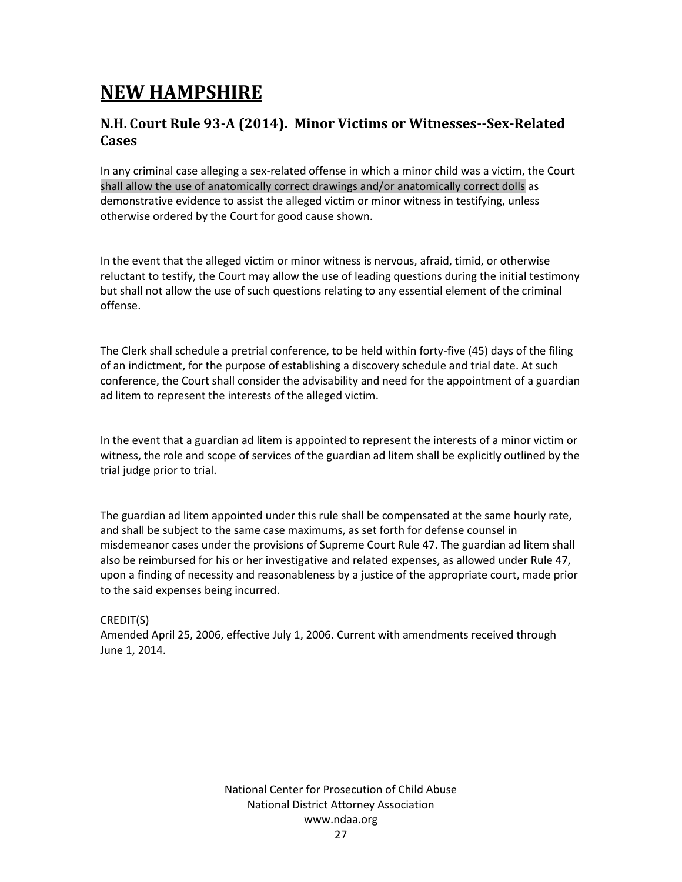# <span id="page-26-0"></span>**NEW HAMPSHIRE**

#### <span id="page-26-1"></span>**N.H. Court Rule 93-A (2014). Minor Victims or Witnesses--Sex-Related Cases**

In any criminal case alleging a sex-related offense in which a minor child was a victim, the Court shall allow the use of anatomically correct drawings and/or anatomically correct dolls as demonstrative evidence to assist the alleged victim or minor witness in testifying, unless otherwise ordered by the Court for good cause shown.

In the event that the alleged victim or minor witness is nervous, afraid, timid, or otherwise reluctant to testify, the Court may allow the use of leading questions during the initial testimony but shall not allow the use of such questions relating to any essential element of the criminal offense.

The Clerk shall schedule a pretrial conference, to be held within forty-five (45) days of the filing of an indictment, for the purpose of establishing a discovery schedule and trial date. At such conference, the Court shall consider the advisability and need for the appointment of a guardian ad litem to represent the interests of the alleged victim.

In the event that a guardian ad litem is appointed to represent the interests of a minor victim or witness, the role and scope of services of the guardian ad litem shall be explicitly outlined by the trial judge prior to trial.

The guardian ad litem appointed under this rule shall be compensated at the same hourly rate, and shall be subject to the same case maximums, as set forth for defense counsel in misdemeanor cases under the provisions of Supreme Court Rule 47. The guardian ad litem shall also be reimbursed for his or her investigative and related expenses, as allowed under Rule 47, upon a finding of necessity and reasonableness by a justice of the appropriate court, made prior to the said expenses being incurred.

CREDIT(S)

Amended April 25, 2006, effective July 1, 2006. Current with amendments received through June 1, 2014.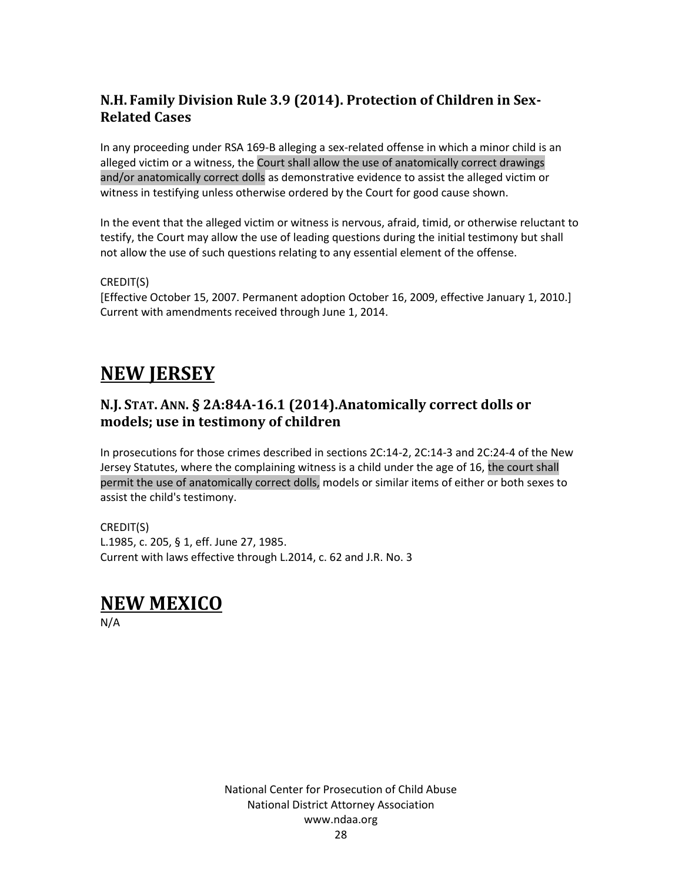#### <span id="page-27-0"></span>**N.H. Family Division Rule 3.9 (2014). Protection of Children in Sex-Related Cases**

In any proceeding under RSA 169-B alleging a sex-related offense in which a minor child is an alleged victim or a witness, the Court shall allow the use of anatomically correct drawings and/or anatomically correct dolls as demonstrative evidence to assist the alleged victim or witness in testifying unless otherwise ordered by the Court for good cause shown.

In the event that the alleged victim or witness is nervous, afraid, timid, or otherwise reluctant to testify, the Court may allow the use of leading questions during the initial testimony but shall not allow the use of such questions relating to any essential element of the offense.

CREDIT(S)

[Effective October 15, 2007. Permanent adoption October 16, 2009, effective January 1, 2010.] Current with amendments received through June 1, 2014.

# <span id="page-27-1"></span>**NEW JERSEY**

#### <span id="page-27-2"></span>**N.J. STAT. ANN. § 2A:84A-16.1 (2014).Anatomically correct dolls or models; use in testimony of children**

In prosecutions for those crimes described in sections 2C:14-2, 2C:14-3 and 2C:24-4 of the New Jersey Statutes, where the complaining witness is a child under the age of 16, the court shall permit the use of anatomically correct dolls, models or similar items of either or both sexes to assist the child's testimony.

CREDIT(S) L.1985, c. 205, § 1, eff. June 27, 1985. Current with laws effective through L.2014, c. 62 and J.R. No. 3

## <span id="page-27-3"></span>**NEW MEXICO**

N/A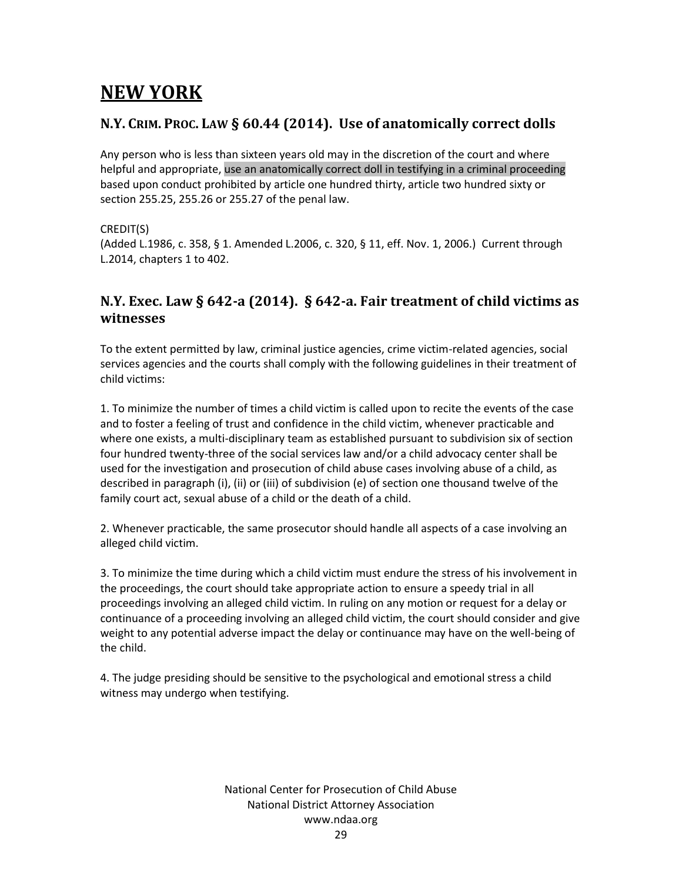## <span id="page-28-0"></span>**NEW YORK**

#### <span id="page-28-1"></span>**N.Y. CRIM. PROC. LAW § 60.44 (2014). Use of anatomically correct dolls**

Any person who is less than sixteen years old may in the discretion of the court and where helpful and appropriate, use an anatomically correct doll in testifying in a criminal proceeding based upon conduct prohibited by article one hundred thirty, article two hundred sixty or section 255.25, 255.26 or 255.27 of the penal law.

#### CREDIT(S)

(Added L.1986, c. 358, § 1. Amended L.2006, c. 320, § 11, eff. Nov. 1, 2006.) Current through L.2014, chapters 1 to 402.

#### <span id="page-28-2"></span>**N.Y. Exec. Law § 642-a (2014). § 642-a. Fair treatment of child victims as witnesses**

To the extent permitted by law, criminal justice agencies, crime victim-related agencies, social services agencies and the courts shall comply with the following guidelines in their treatment of child victims:

1. To minimize the number of times a child victim is called upon to recite the events of the case and to foster a feeling of trust and confidence in the child victim, whenever practicable and where one exists, a multi-disciplinary team as established pursuant to subdivision six of section four hundred twenty-three of the social services law and/or a child advocacy center shall be used for the investigation and prosecution of child abuse cases involving abuse of a child, as described in paragraph (i), (ii) or (iii) of subdivision (e) of section one thousand twelve of the family court act, sexual abuse of a child or the death of a child.

2. Whenever practicable, the same prosecutor should handle all aspects of a case involving an alleged child victim.

3. To minimize the time during which a child victim must endure the stress of his involvement in the proceedings, the court should take appropriate action to ensure a speedy trial in all proceedings involving an alleged child victim. In ruling on any motion or request for a delay or continuance of a proceeding involving an alleged child victim, the court should consider and give weight to any potential adverse impact the delay or continuance may have on the well-being of the child.

4. The judge presiding should be sensitive to the psychological and emotional stress a child witness may undergo when testifying.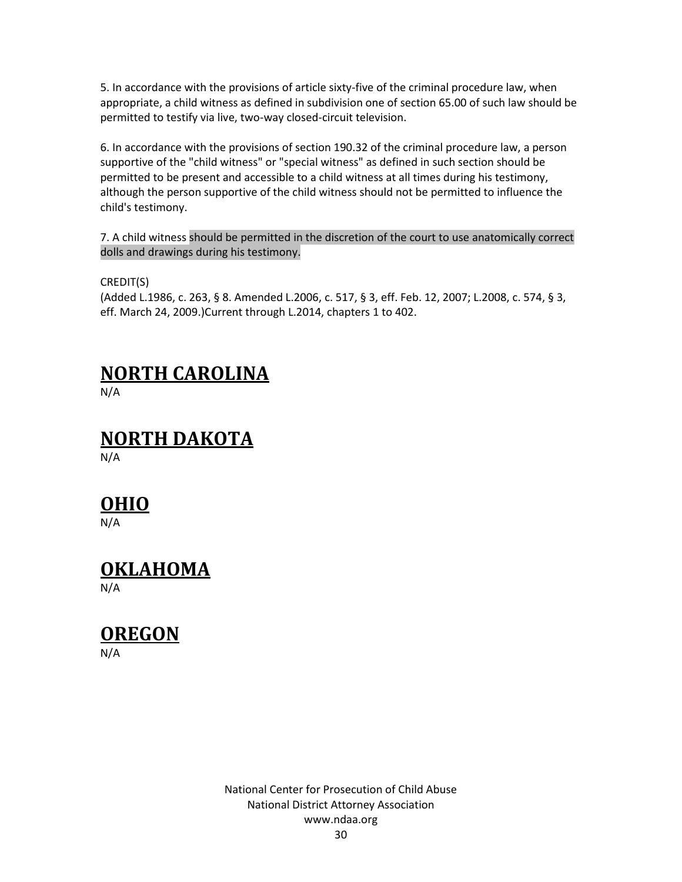5. In accordance with the provisions of article sixty-five of the criminal procedure law, when appropriate, a child witness as defined in subdivision one of section 65.00 of such law should be permitted to testify via live, two-way closed-circuit television.

6. In accordance with the provisions of section 190.32 of the criminal procedure law, a person supportive of the "child witness" or "special witness" as defined in such section should be permitted to be present and accessible to a child witness at all times during his testimony, although the person supportive of the child witness should not be permitted to influence the child's testimony.

7. A child witness should be permitted in the discretion of the court to use anatomically correct dolls and drawings during his testimony.

CREDIT(S)

(Added L.1986, c. 263, § 8. Amended L.2006, c. 517, § 3, eff. Feb. 12, 2007; L.2008, c. 574, § 3, eff. March 24, 2009.)Current through L.2014, chapters 1 to 402.

### <span id="page-29-0"></span>**NORTH CAROLINA**

<span id="page-29-1"></span>N/A

# **NORTH DAKOTA**

<span id="page-29-2"></span>N/A

### **OHIO**

<span id="page-29-3"></span>N/A

### **OKLAHOMA**

<span id="page-29-4"></span>N/A

### **OREGON**

N/A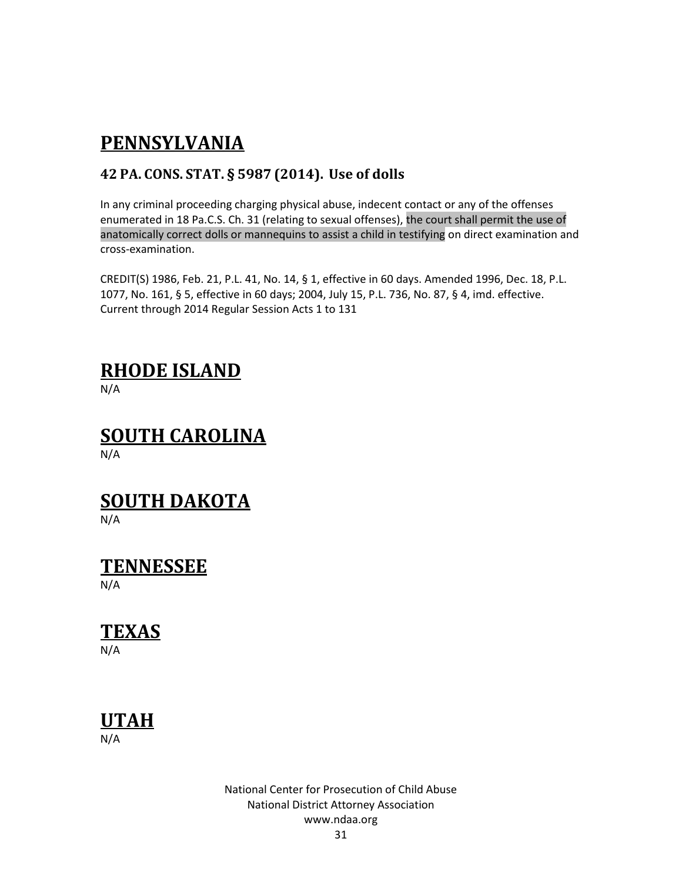# <span id="page-30-0"></span>**PENNSYLVANIA**

#### <span id="page-30-1"></span>**42 PA. CONS. STAT. § 5987 (2014). Use of dolls**

In any criminal proceeding charging physical abuse, indecent contact or any of the offenses enumerated in 18 Pa.C.S. Ch. 31 (relating to sexual offenses), the court shall permit the use of anatomically correct dolls or mannequins to assist a child in testifying on direct examination and cross-examination.

CREDIT(S) 1986, Feb. 21, P.L. 41, No. 14, § 1, effective in 60 days. Amended 1996, Dec. 18, P.L. 1077, No. 161, § 5, effective in 60 days; 2004, July 15, P.L. 736, No. 87, § 4, imd. effective. Current through 2014 Regular Session Acts 1 to 131

### <span id="page-30-2"></span>**RHODE ISLAND**

<span id="page-30-3"></span>N/A

# **SOUTH CAROLINA**

<span id="page-30-4"></span>N/A

# **SOUTH DAKOTA**

<span id="page-30-5"></span>N/A

### **TENNESSEE**

<span id="page-30-6"></span>N/A

### **TEXAS**

N/A

# <span id="page-30-7"></span>**UTAH**

N/A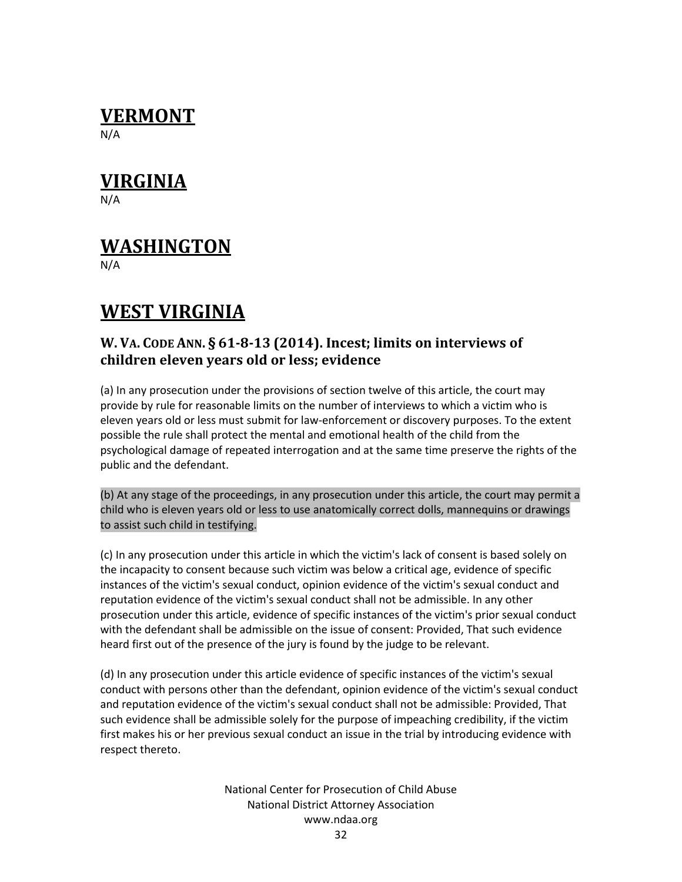#### <span id="page-31-0"></span>**VERMONT**

<span id="page-31-1"></span>N/A

### **VIRGINIA**

<span id="page-31-2"></span>N/A

### **WASHINGTON**

<span id="page-31-3"></span>N/A

### **WEST VIRGINIA**

#### <span id="page-31-4"></span>**W. VA. CODE ANN. § 61-8-13 (2014). Incest; limits on interviews of children eleven years old or less; evidence**

(a) In any prosecution under the provisions of section twelve of this article, the court may provide by rule for reasonable limits on the number of interviews to which a victim who is eleven years old or less must submit for law-enforcement or discovery purposes. To the extent possible the rule shall protect the mental and emotional health of the child from the psychological damage of repeated interrogation and at the same time preserve the rights of the public and the defendant.

(b) At any stage of the proceedings, in any prosecution under this article, the court may permit a child who is eleven years old or less to use anatomically correct dolls, mannequins or drawings to assist such child in testifying.

(c) In any prosecution under this article in which the victim's lack of consent is based solely on the incapacity to consent because such victim was below a critical age, evidence of specific instances of the victim's sexual conduct, opinion evidence of the victim's sexual conduct and reputation evidence of the victim's sexual conduct shall not be admissible. In any other prosecution under this article, evidence of specific instances of the victim's prior sexual conduct with the defendant shall be admissible on the issue of consent: Provided, That such evidence heard first out of the presence of the jury is found by the judge to be relevant.

(d) In any prosecution under this article evidence of specific instances of the victim's sexual conduct with persons other than the defendant, opinion evidence of the victim's sexual conduct and reputation evidence of the victim's sexual conduct shall not be admissible: Provided, That such evidence shall be admissible solely for the purpose of impeaching credibility, if the victim first makes his or her previous sexual conduct an issue in the trial by introducing evidence with respect thereto.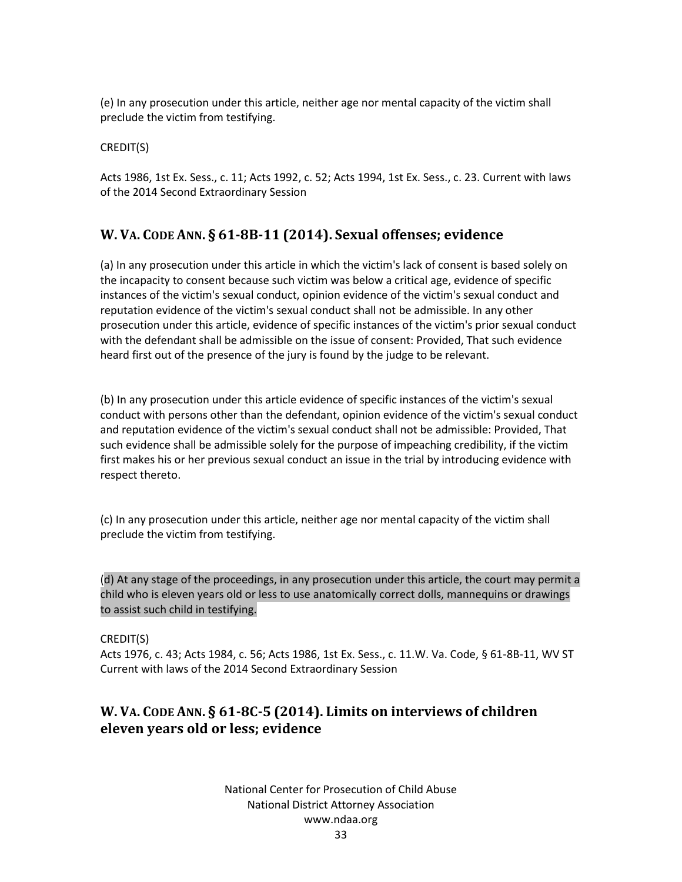(e) In any prosecution under this article, neither age nor mental capacity of the victim shall preclude the victim from testifying.

CREDIT(S)

Acts 1986, 1st Ex. Sess., c. 11; Acts 1992, c. 52; Acts 1994, 1st Ex. Sess., c. 23. Current with laws of the 2014 Second Extraordinary Session

#### <span id="page-32-0"></span>**W. VA. CODE ANN. § 61-8B-11 (2014). Sexual offenses; evidence**

(a) In any prosecution under this article in which the victim's lack of consent is based solely on the incapacity to consent because such victim was below a critical age, evidence of specific instances of the victim's sexual conduct, opinion evidence of the victim's sexual conduct and reputation evidence of the victim's sexual conduct shall not be admissible. In any other prosecution under this article, evidence of specific instances of the victim's prior sexual conduct with the defendant shall be admissible on the issue of consent: Provided, That such evidence heard first out of the presence of the jury is found by the judge to be relevant.

(b) In any prosecution under this article evidence of specific instances of the victim's sexual conduct with persons other than the defendant, opinion evidence of the victim's sexual conduct and reputation evidence of the victim's sexual conduct shall not be admissible: Provided, That such evidence shall be admissible solely for the purpose of impeaching credibility, if the victim first makes his or her previous sexual conduct an issue in the trial by introducing evidence with respect thereto.

(c) In any prosecution under this article, neither age nor mental capacity of the victim shall preclude the victim from testifying.

(d) At any stage of the proceedings, in any prosecution under this article, the court may permit a child who is eleven years old or less to use anatomically correct dolls, mannequins or drawings to assist such child in testifying.

CREDIT(S)

Acts 1976, c. 43; Acts 1984, c. 56; Acts 1986, 1st Ex. Sess., c. 11.W. Va. Code, § 61-8B-11, WV ST Current with laws of the 2014 Second Extraordinary Session

#### <span id="page-32-1"></span>**W. VA. CODE ANN. § 61-8C-5 (2014). Limits on interviews of children eleven years old or less; evidence**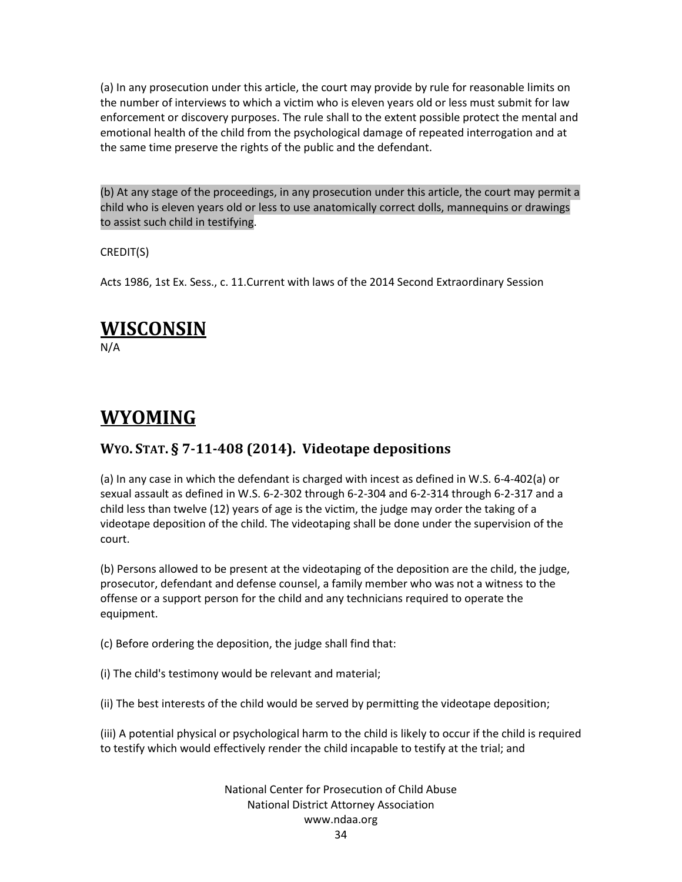(a) In any prosecution under this article, the court may provide by rule for reasonable limits on the number of interviews to which a victim who is eleven years old or less must submit for law enforcement or discovery purposes. The rule shall to the extent possible protect the mental and emotional health of the child from the psychological damage of repeated interrogation and at the same time preserve the rights of the public and the defendant.

(b) At any stage of the proceedings, in any prosecution under this article, the court may permit a child who is eleven years old or less to use anatomically correct dolls, mannequins or drawings to assist such child in testifying.

CREDIT(S)

<span id="page-33-0"></span>Acts 1986, 1st Ex. Sess., c. 11.Current with laws of the 2014 Second Extraordinary Session

### **WISCONSIN**

N/A

### <span id="page-33-1"></span>**WYOMING**

#### <span id="page-33-2"></span>**WYO. STAT. § 7-11-408 (2014). Videotape depositions**

(a) In any case in which the defendant is charged with incest as defined in W.S. 6-4-402(a) or sexual assault as defined in W.S. 6-2-302 through 6-2-304 and 6-2-314 through 6-2-317 and a child less than twelve (12) years of age is the victim, the judge may order the taking of a videotape deposition of the child. The videotaping shall be done under the supervision of the court.

(b) Persons allowed to be present at the videotaping of the deposition are the child, the judge, prosecutor, defendant and defense counsel, a family member who was not a witness to the offense or a support person for the child and any technicians required to operate the equipment.

(c) Before ordering the deposition, the judge shall find that:

(i) The child's testimony would be relevant and material;

(ii) The best interests of the child would be served by permitting the videotape deposition;

(iii) A potential physical or psychological harm to the child is likely to occur if the child is required to testify which would effectively render the child incapable to testify at the trial; and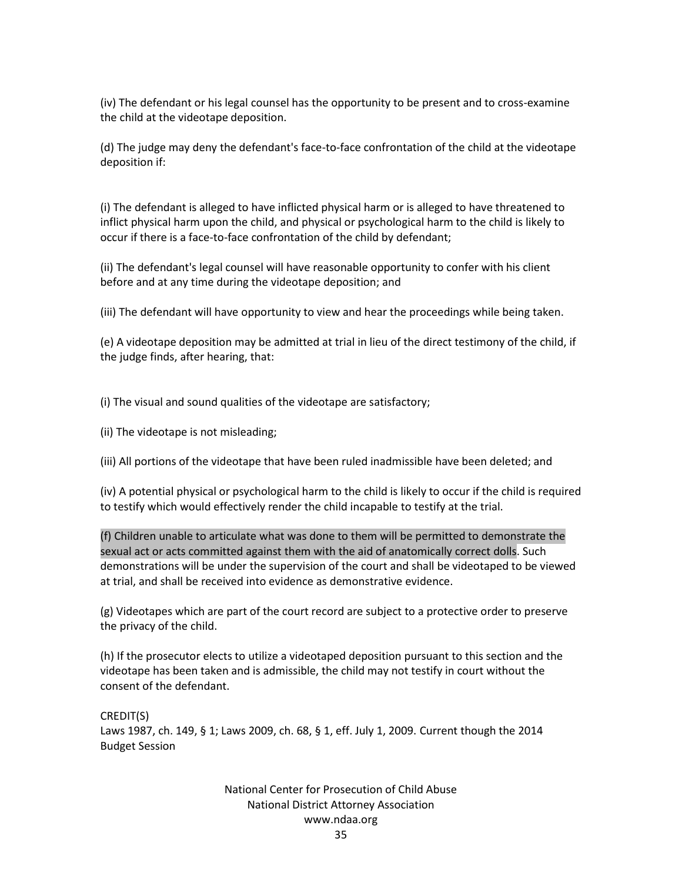(iv) The defendant or his legal counsel has the opportunity to be present and to cross-examine the child at the videotape deposition.

(d) The judge may deny the defendant's face-to-face confrontation of the child at the videotape deposition if:

(i) The defendant is alleged to have inflicted physical harm or is alleged to have threatened to inflict physical harm upon the child, and physical or psychological harm to the child is likely to occur if there is a face-to-face confrontation of the child by defendant;

(ii) The defendant's legal counsel will have reasonable opportunity to confer with his client before and at any time during the videotape deposition; and

(iii) The defendant will have opportunity to view and hear the proceedings while being taken.

(e) A videotape deposition may be admitted at trial in lieu of the direct testimony of the child, if the judge finds, after hearing, that:

(i) The visual and sound qualities of the videotape are satisfactory;

(ii) The videotape is not misleading;

(iii) All portions of the videotape that have been ruled inadmissible have been deleted; and

(iv) A potential physical or psychological harm to the child is likely to occur if the child is required to testify which would effectively render the child incapable to testify at the trial.

(f) Children unable to articulate what was done to them will be permitted to demonstrate the sexual act or acts committed against them with the aid of anatomically correct dolls. Such demonstrations will be under the supervision of the court and shall be videotaped to be viewed at trial, and shall be received into evidence as demonstrative evidence.

(g) Videotapes which are part of the court record are subject to a protective order to preserve the privacy of the child.

(h) If the prosecutor elects to utilize a videotaped deposition pursuant to this section and the videotape has been taken and is admissible, the child may not testify in court without the consent of the defendant.

CREDIT(S) Laws 1987, ch. 149, § 1; Laws 2009, ch. 68, § 1, eff. July 1, 2009. Current though the 2014 Budget Session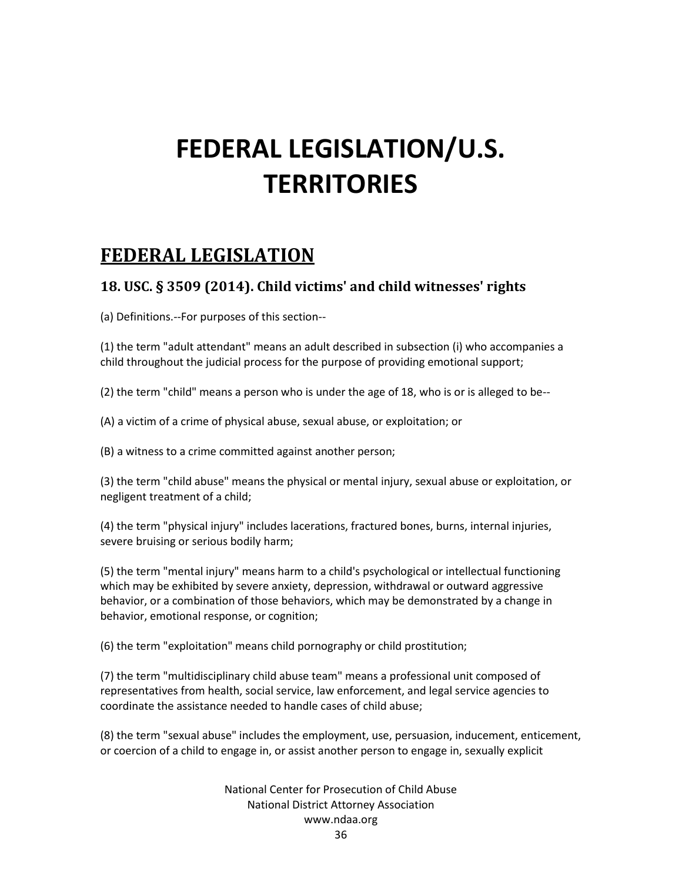# **FEDERAL LEGISLATION/U.S. TERRITORIES**

## <span id="page-35-0"></span>**FEDERAL LEGISLATION**

#### **18. USC. § 3509 (2014). Child victims' and child witnesses' rights**

(a) Definitions.--For purposes of this section--

(1) the term "adult attendant" means an adult described in subsection (i) who accompanies a child throughout the judicial process for the purpose of providing emotional support;

(2) the term "child" means a person who is under the age of 18, who is or is alleged to be--

(A) a victim of a crime of physical abuse, sexual abuse, or exploitation; or

(B) a witness to a crime committed against another person;

(3) the term "child abuse" means the physical or mental injury, sexual abuse or exploitation, or negligent treatment of a child;

(4) the term "physical injury" includes lacerations, fractured bones, burns, internal injuries, severe bruising or serious bodily harm;

(5) the term "mental injury" means harm to a child's psychological or intellectual functioning which may be exhibited by severe anxiety, depression, withdrawal or outward aggressive behavior, or a combination of those behaviors, which may be demonstrated by a change in behavior, emotional response, or cognition;

(6) the term "exploitation" means child pornography or child prostitution;

(7) the term "multidisciplinary child abuse team" means a professional unit composed of representatives from health, social service, law enforcement, and legal service agencies to coordinate the assistance needed to handle cases of child abuse;

(8) the term "sexual abuse" includes the employment, use, persuasion, inducement, enticement, or coercion of a child to engage in, or assist another person to engage in, sexually explicit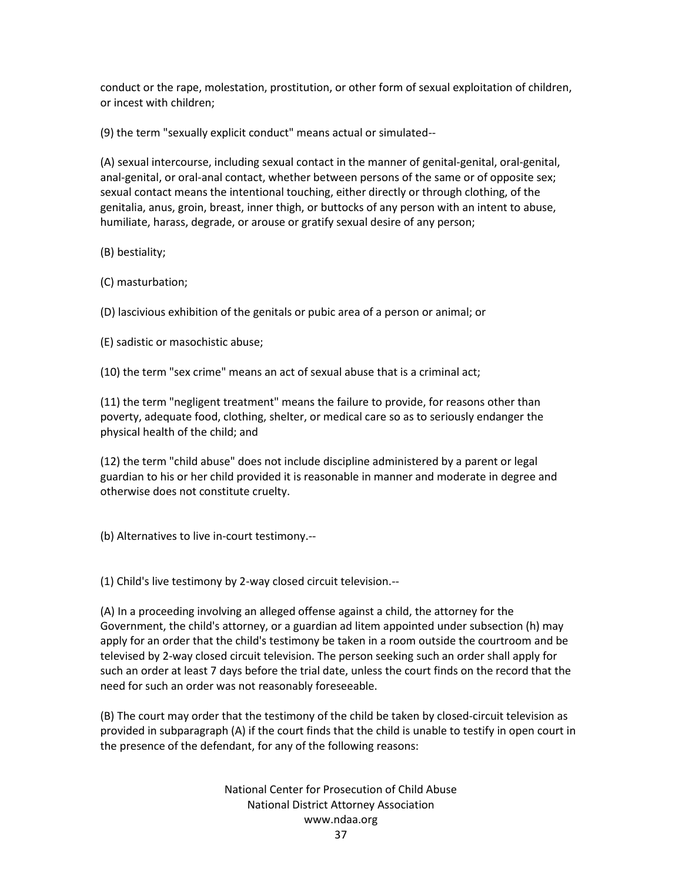conduct or the rape, molestation, prostitution, or other form of sexual exploitation of children, or incest with children;

(9) the term "sexually explicit conduct" means actual or simulated--

(A) sexual intercourse, including sexual contact in the manner of genital-genital, oral-genital, anal-genital, or oral-anal contact, whether between persons of the same or of opposite sex; sexual contact means the intentional touching, either directly or through clothing, of the genitalia, anus, groin, breast, inner thigh, or buttocks of any person with an intent to abuse, humiliate, harass, degrade, or arouse or gratify sexual desire of any person;

(B) bestiality;

(C) masturbation;

(D) lascivious exhibition of the genitals or pubic area of a person or animal; or

(E) sadistic or masochistic abuse;

(10) the term "sex crime" means an act of sexual abuse that is a criminal act;

(11) the term "negligent treatment" means the failure to provide, for reasons other than poverty, adequate food, clothing, shelter, or medical care so as to seriously endanger the physical health of the child; and

(12) the term "child abuse" does not include discipline administered by a parent or legal guardian to his or her child provided it is reasonable in manner and moderate in degree and otherwise does not constitute cruelty.

(b) Alternatives to live in-court testimony.--

(1) Child's live testimony by 2-way closed circuit television.--

(A) In a proceeding involving an alleged offense against a child, the attorney for the Government, the child's attorney, or a guardian ad litem appointed under subsection (h) may apply for an order that the child's testimony be taken in a room outside the courtroom and be televised by 2-way closed circuit television. The person seeking such an order shall apply for such an order at least 7 days before the trial date, unless the court finds on the record that the need for such an order was not reasonably foreseeable.

(B) The court may order that the testimony of the child be taken by closed-circuit television as provided in subparagraph (A) if the court finds that the child is unable to testify in open court in the presence of the defendant, for any of the following reasons: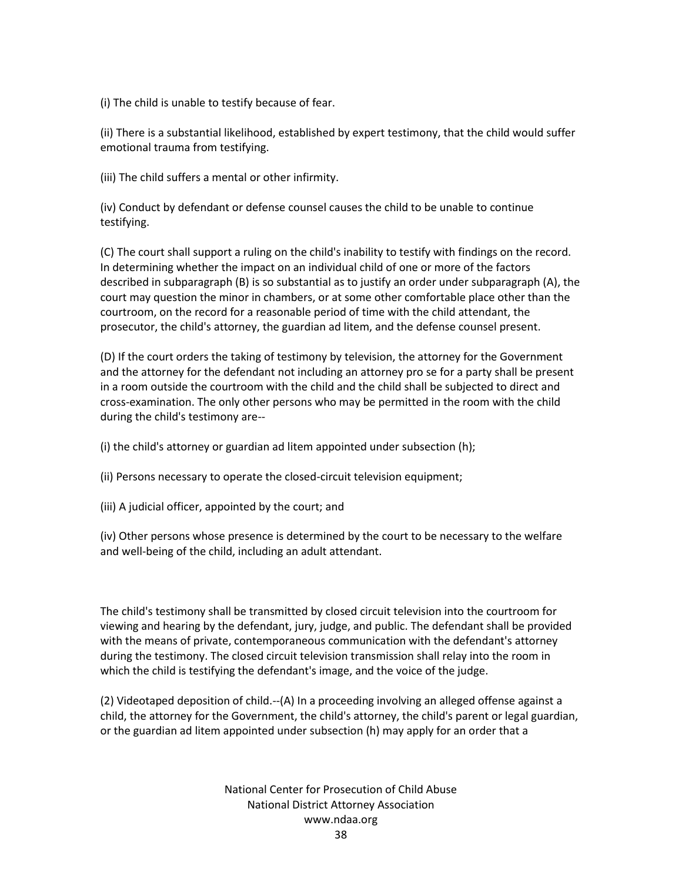(i) The child is unable to testify because of fear.

(ii) There is a substantial likelihood, established by expert testimony, that the child would suffer emotional trauma from testifying.

(iii) The child suffers a mental or other infirmity.

(iv) Conduct by defendant or defense counsel causes the child to be unable to continue testifying.

(C) The court shall support a ruling on the child's inability to testify with findings on the record. In determining whether the impact on an individual child of one or more of the factors described in subparagraph (B) is so substantial as to justify an order under subparagraph (A), the court may question the minor in chambers, or at some other comfortable place other than the courtroom, on the record for a reasonable period of time with the child attendant, the prosecutor, the child's attorney, the guardian ad litem, and the defense counsel present.

(D) If the court orders the taking of testimony by television, the attorney for the Government and the attorney for the defendant not including an attorney pro se for a party shall be present in a room outside the courtroom with the child and the child shall be subjected to direct and cross-examination. The only other persons who may be permitted in the room with the child during the child's testimony are--

(i) the child's attorney or guardian ad litem appointed under subsection (h);

(ii) Persons necessary to operate the closed-circuit television equipment;

(iii) A judicial officer, appointed by the court; and

(iv) Other persons whose presence is determined by the court to be necessary to the welfare and well-being of the child, including an adult attendant.

The child's testimony shall be transmitted by closed circuit television into the courtroom for viewing and hearing by the defendant, jury, judge, and public. The defendant shall be provided with the means of private, contemporaneous communication with the defendant's attorney during the testimony. The closed circuit television transmission shall relay into the room in which the child is testifying the defendant's image, and the voice of the judge.

(2) Videotaped deposition of child.--(A) In a proceeding involving an alleged offense against a child, the attorney for the Government, the child's attorney, the child's parent or legal guardian, or the guardian ad litem appointed under subsection (h) may apply for an order that a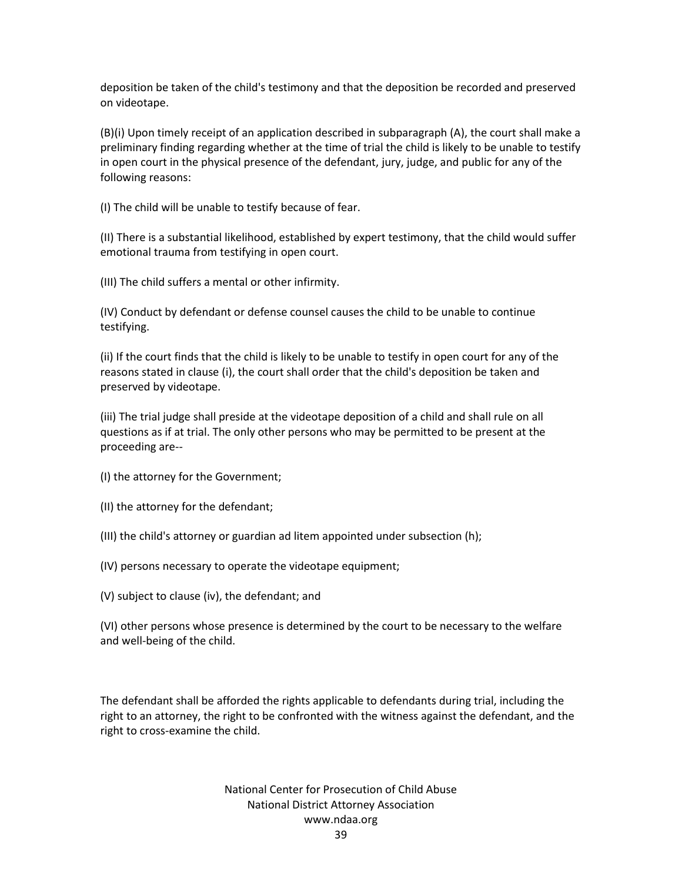deposition be taken of the child's testimony and that the deposition be recorded and preserved on videotape.

(B)(i) Upon timely receipt of an application described in subparagraph (A), the court shall make a preliminary finding regarding whether at the time of trial the child is likely to be unable to testify in open court in the physical presence of the defendant, jury, judge, and public for any of the following reasons:

(I) The child will be unable to testify because of fear.

(II) There is a substantial likelihood, established by expert testimony, that the child would suffer emotional trauma from testifying in open court.

(III) The child suffers a mental or other infirmity.

(IV) Conduct by defendant or defense counsel causes the child to be unable to continue testifying.

(ii) If the court finds that the child is likely to be unable to testify in open court for any of the reasons stated in clause (i), the court shall order that the child's deposition be taken and preserved by videotape.

(iii) The trial judge shall preside at the videotape deposition of a child and shall rule on all questions as if at trial. The only other persons who may be permitted to be present at the proceeding are--

- (II) the attorney for the defendant;
- (III) the child's attorney or guardian ad litem appointed under subsection (h);
- (IV) persons necessary to operate the videotape equipment;
- (V) subject to clause (iv), the defendant; and

(VI) other persons whose presence is determined by the court to be necessary to the welfare and well-being of the child.

The defendant shall be afforded the rights applicable to defendants during trial, including the right to an attorney, the right to be confronted with the witness against the defendant, and the right to cross-examine the child.

<sup>(</sup>I) the attorney for the Government;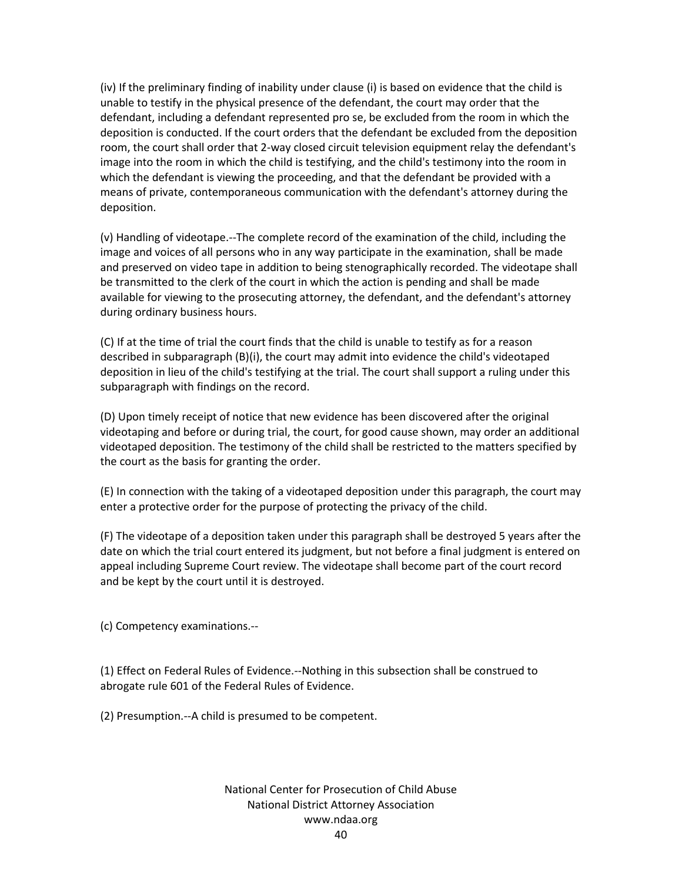(iv) If the preliminary finding of inability under clause (i) is based on evidence that the child is unable to testify in the physical presence of the defendant, the court may order that the defendant, including a defendant represented pro se, be excluded from the room in which the deposition is conducted. If the court orders that the defendant be excluded from the deposition room, the court shall order that 2-way closed circuit television equipment relay the defendant's image into the room in which the child is testifying, and the child's testimony into the room in which the defendant is viewing the proceeding, and that the defendant be provided with a means of private, contemporaneous communication with the defendant's attorney during the deposition.

(v) Handling of videotape.--The complete record of the examination of the child, including the image and voices of all persons who in any way participate in the examination, shall be made and preserved on video tape in addition to being stenographically recorded. The videotape shall be transmitted to the clerk of the court in which the action is pending and shall be made available for viewing to the prosecuting attorney, the defendant, and the defendant's attorney during ordinary business hours.

(C) If at the time of trial the court finds that the child is unable to testify as for a reason described in subparagraph (B)(i), the court may admit into evidence the child's videotaped deposition in lieu of the child's testifying at the trial. The court shall support a ruling under this subparagraph with findings on the record.

(D) Upon timely receipt of notice that new evidence has been discovered after the original videotaping and before or during trial, the court, for good cause shown, may order an additional videotaped deposition. The testimony of the child shall be restricted to the matters specified by the court as the basis for granting the order.

(E) In connection with the taking of a videotaped deposition under this paragraph, the court may enter a protective order for the purpose of protecting the privacy of the child.

(F) The videotape of a deposition taken under this paragraph shall be destroyed 5 years after the date on which the trial court entered its judgment, but not before a final judgment is entered on appeal including Supreme Court review. The videotape shall become part of the court record and be kept by the court until it is destroyed.

(c) Competency examinations.--

(1) Effect on Federal Rules of Evidence.--Nothing in this subsection shall be construed to abrogate rule 601 of the Federal Rules of Evidence.

(2) Presumption.--A child is presumed to be competent.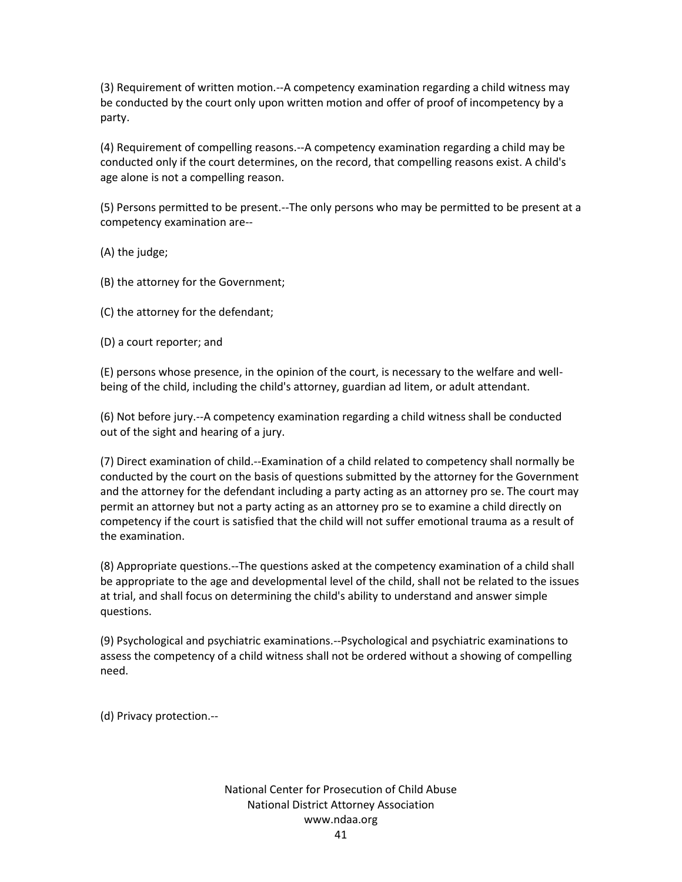(3) Requirement of written motion.--A competency examination regarding a child witness may be conducted by the court only upon written motion and offer of proof of incompetency by a party.

(4) Requirement of compelling reasons.--A competency examination regarding a child may be conducted only if the court determines, on the record, that compelling reasons exist. A child's age alone is not a compelling reason.

(5) Persons permitted to be present.--The only persons who may be permitted to be present at a competency examination are--

(A) the judge;

(B) the attorney for the Government;

(C) the attorney for the defendant;

(D) a court reporter; and

(E) persons whose presence, in the opinion of the court, is necessary to the welfare and wellbeing of the child, including the child's attorney, guardian ad litem, or adult attendant.

(6) Not before jury.--A competency examination regarding a child witness shall be conducted out of the sight and hearing of a jury.

(7) Direct examination of child.--Examination of a child related to competency shall normally be conducted by the court on the basis of questions submitted by the attorney for the Government and the attorney for the defendant including a party acting as an attorney pro se. The court may permit an attorney but not a party acting as an attorney pro se to examine a child directly on competency if the court is satisfied that the child will not suffer emotional trauma as a result of the examination.

(8) Appropriate questions.--The questions asked at the competency examination of a child shall be appropriate to the age and developmental level of the child, shall not be related to the issues at trial, and shall focus on determining the child's ability to understand and answer simple questions.

(9) Psychological and psychiatric examinations.--Psychological and psychiatric examinations to assess the competency of a child witness shall not be ordered without a showing of compelling need.

(d) Privacy protection.--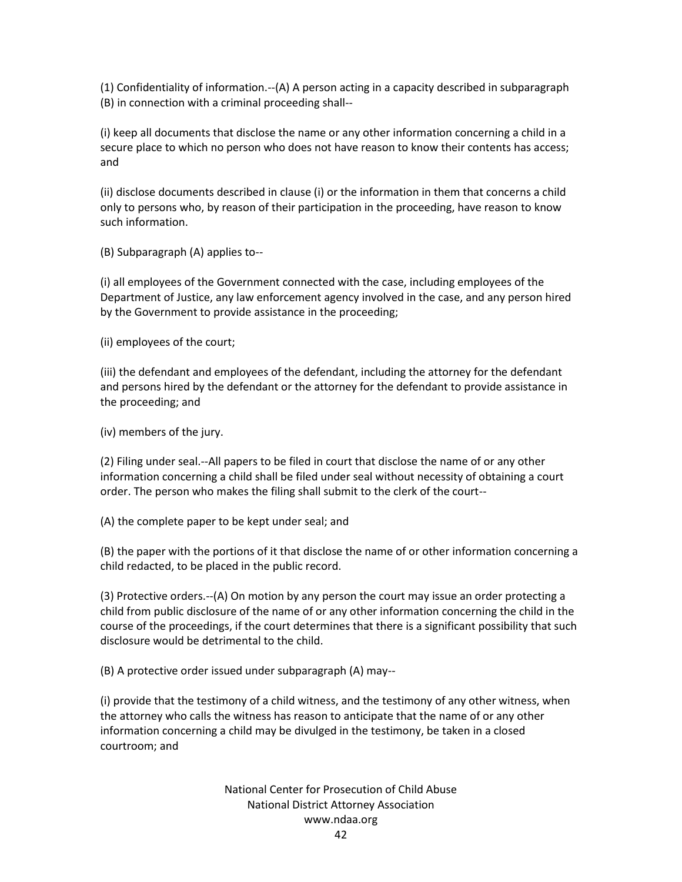(1) Confidentiality of information.--(A) A person acting in a capacity described in subparagraph (B) in connection with a criminal proceeding shall--

(i) keep all documents that disclose the name or any other information concerning a child in a secure place to which no person who does not have reason to know their contents has access; and

(ii) disclose documents described in clause (i) or the information in them that concerns a child only to persons who, by reason of their participation in the proceeding, have reason to know such information.

(B) Subparagraph (A) applies to--

(i) all employees of the Government connected with the case, including employees of the Department of Justice, any law enforcement agency involved in the case, and any person hired by the Government to provide assistance in the proceeding;

(ii) employees of the court;

(iii) the defendant and employees of the defendant, including the attorney for the defendant and persons hired by the defendant or the attorney for the defendant to provide assistance in the proceeding; and

(iv) members of the jury.

(2) Filing under seal.--All papers to be filed in court that disclose the name of or any other information concerning a child shall be filed under seal without necessity of obtaining a court order. The person who makes the filing shall submit to the clerk of the court--

(A) the complete paper to be kept under seal; and

(B) the paper with the portions of it that disclose the name of or other information concerning a child redacted, to be placed in the public record.

(3) Protective orders.--(A) On motion by any person the court may issue an order protecting a child from public disclosure of the name of or any other information concerning the child in the course of the proceedings, if the court determines that there is a significant possibility that such disclosure would be detrimental to the child.

(B) A protective order issued under subparagraph (A) may--

(i) provide that the testimony of a child witness, and the testimony of any other witness, when the attorney who calls the witness has reason to anticipate that the name of or any other information concerning a child may be divulged in the testimony, be taken in a closed courtroom; and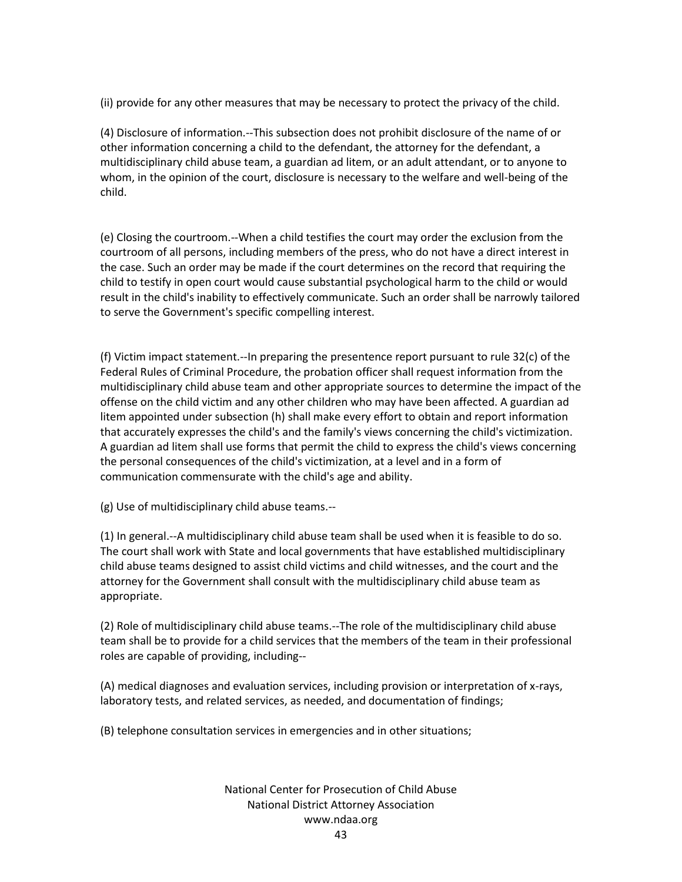(ii) provide for any other measures that may be necessary to protect the privacy of the child.

(4) Disclosure of information.--This subsection does not prohibit disclosure of the name of or other information concerning a child to the defendant, the attorney for the defendant, a multidisciplinary child abuse team, a guardian ad litem, or an adult attendant, or to anyone to whom, in the opinion of the court, disclosure is necessary to the welfare and well-being of the child.

(e) Closing the courtroom.--When a child testifies the court may order the exclusion from the courtroom of all persons, including members of the press, who do not have a direct interest in the case. Such an order may be made if the court determines on the record that requiring the child to testify in open court would cause substantial psychological harm to the child or would result in the child's inability to effectively communicate. Such an order shall be narrowly tailored to serve the Government's specific compelling interest.

(f) Victim impact statement.--In preparing the presentence report pursuant to rule 32(c) of the Federal Rules of Criminal Procedure, the probation officer shall request information from the multidisciplinary child abuse team and other appropriate sources to determine the impact of the offense on the child victim and any other children who may have been affected. A guardian ad litem appointed under subsection (h) shall make every effort to obtain and report information that accurately expresses the child's and the family's views concerning the child's victimization. A guardian ad litem shall use forms that permit the child to express the child's views concerning the personal consequences of the child's victimization, at a level and in a form of communication commensurate with the child's age and ability.

(g) Use of multidisciplinary child abuse teams.--

(1) In general.--A multidisciplinary child abuse team shall be used when it is feasible to do so. The court shall work with State and local governments that have established multidisciplinary child abuse teams designed to assist child victims and child witnesses, and the court and the attorney for the Government shall consult with the multidisciplinary child abuse team as appropriate.

(2) Role of multidisciplinary child abuse teams.--The role of the multidisciplinary child abuse team shall be to provide for a child services that the members of the team in their professional roles are capable of providing, including--

(A) medical diagnoses and evaluation services, including provision or interpretation of x-rays, laboratory tests, and related services, as needed, and documentation of findings;

(B) telephone consultation services in emergencies and in other situations;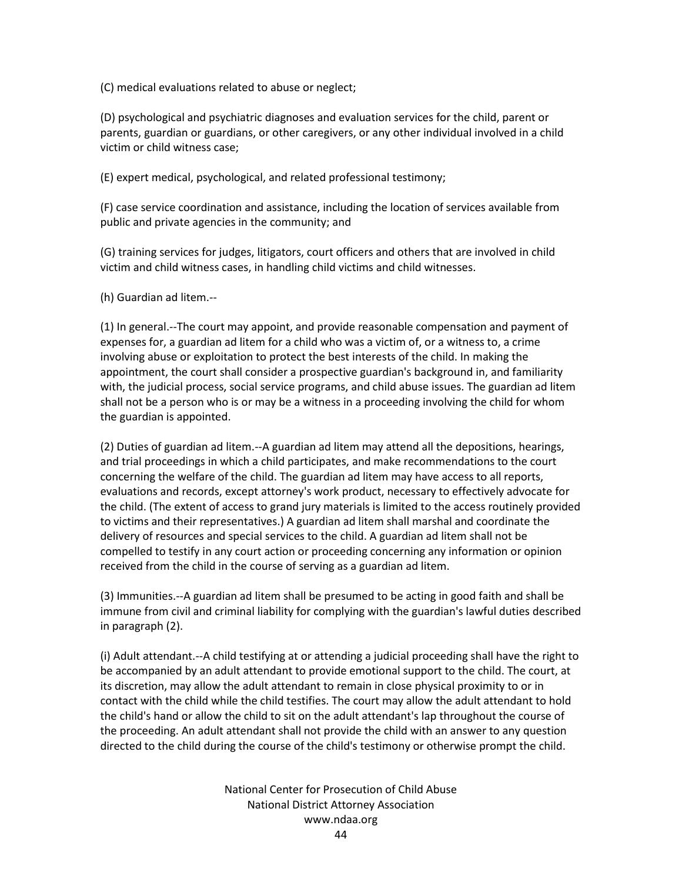(C) medical evaluations related to abuse or neglect;

(D) psychological and psychiatric diagnoses and evaluation services for the child, parent or parents, guardian or guardians, or other caregivers, or any other individual involved in a child victim or child witness case;

(E) expert medical, psychological, and related professional testimony;

(F) case service coordination and assistance, including the location of services available from public and private agencies in the community; and

(G) training services for judges, litigators, court officers and others that are involved in child victim and child witness cases, in handling child victims and child witnesses.

(h) Guardian ad litem.--

(1) In general.--The court may appoint, and provide reasonable compensation and payment of expenses for, a guardian ad litem for a child who was a victim of, or a witness to, a crime involving abuse or exploitation to protect the best interests of the child. In making the appointment, the court shall consider a prospective guardian's background in, and familiarity with, the judicial process, social service programs, and child abuse issues. The guardian ad litem shall not be a person who is or may be a witness in a proceeding involving the child for whom the guardian is appointed.

(2) Duties of guardian ad litem.--A guardian ad litem may attend all the depositions, hearings, and trial proceedings in which a child participates, and make recommendations to the court concerning the welfare of the child. The guardian ad litem may have access to all reports, evaluations and records, except attorney's work product, necessary to effectively advocate for the child. (The extent of access to grand jury materials is limited to the access routinely provided to victims and their representatives.) A guardian ad litem shall marshal and coordinate the delivery of resources and special services to the child. A guardian ad litem shall not be compelled to testify in any court action or proceeding concerning any information or opinion received from the child in the course of serving as a guardian ad litem.

(3) Immunities.--A guardian ad litem shall be presumed to be acting in good faith and shall be immune from civil and criminal liability for complying with the guardian's lawful duties described in paragraph (2).

(i) Adult attendant.--A child testifying at or attending a judicial proceeding shall have the right to be accompanied by an adult attendant to provide emotional support to the child. The court, at its discretion, may allow the adult attendant to remain in close physical proximity to or in contact with the child while the child testifies. The court may allow the adult attendant to hold the child's hand or allow the child to sit on the adult attendant's lap throughout the course of the proceeding. An adult attendant shall not provide the child with an answer to any question directed to the child during the course of the child's testimony or otherwise prompt the child.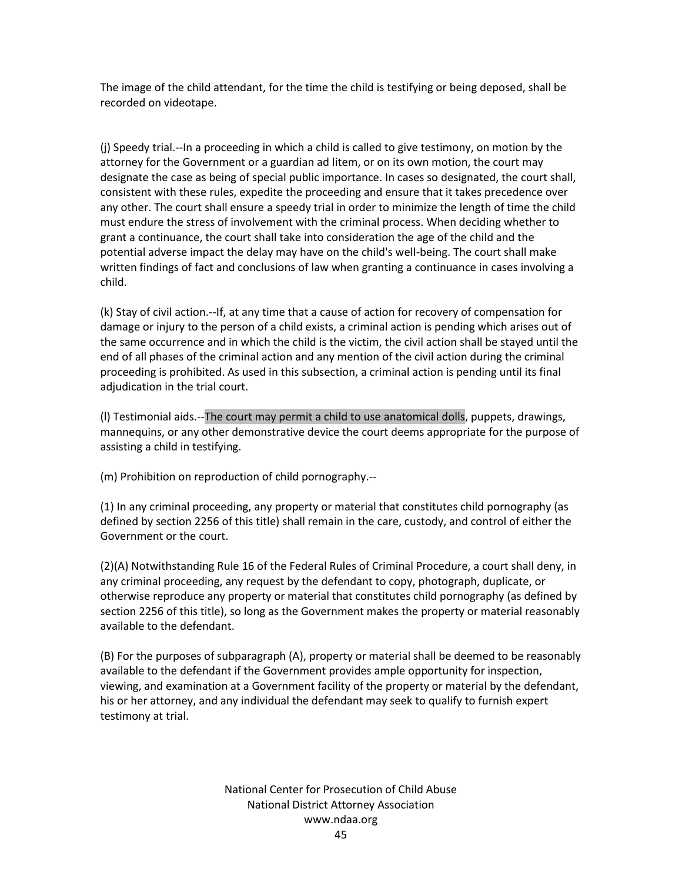The image of the child attendant, for the time the child is testifying or being deposed, shall be recorded on videotape.

(j) Speedy trial.--In a proceeding in which a child is called to give testimony, on motion by the attorney for the Government or a guardian ad litem, or on its own motion, the court may designate the case as being of special public importance. In cases so designated, the court shall, consistent with these rules, expedite the proceeding and ensure that it takes precedence over any other. The court shall ensure a speedy trial in order to minimize the length of time the child must endure the stress of involvement with the criminal process. When deciding whether to grant a continuance, the court shall take into consideration the age of the child and the potential adverse impact the delay may have on the child's well-being. The court shall make written findings of fact and conclusions of law when granting a continuance in cases involving a child.

(k) Stay of civil action.--If, at any time that a cause of action for recovery of compensation for damage or injury to the person of a child exists, a criminal action is pending which arises out of the same occurrence and in which the child is the victim, the civil action shall be stayed until the end of all phases of the criminal action and any mention of the civil action during the criminal proceeding is prohibited. As used in this subsection, a criminal action is pending until its final adjudication in the trial court.

(l) Testimonial aids.--The court may permit a child to use anatomical dolls, puppets, drawings, mannequins, or any other demonstrative device the court deems appropriate for the purpose of assisting a child in testifying.

(m) Prohibition on reproduction of child pornography.--

(1) In any criminal proceeding, any property or material that constitutes child pornography (as defined by section 2256 of this title) shall remain in the care, custody, and control of either the Government or the court.

(2)(A) Notwithstanding Rule 16 of the Federal Rules of Criminal Procedure, a court shall deny, in any criminal proceeding, any request by the defendant to copy, photograph, duplicate, or otherwise reproduce any property or material that constitutes child pornography (as defined by section 2256 of this title), so long as the Government makes the property or material reasonably available to the defendant.

(B) For the purposes of subparagraph (A), property or material shall be deemed to be reasonably available to the defendant if the Government provides ample opportunity for inspection, viewing, and examination at a Government facility of the property or material by the defendant, his or her attorney, and any individual the defendant may seek to qualify to furnish expert testimony at trial.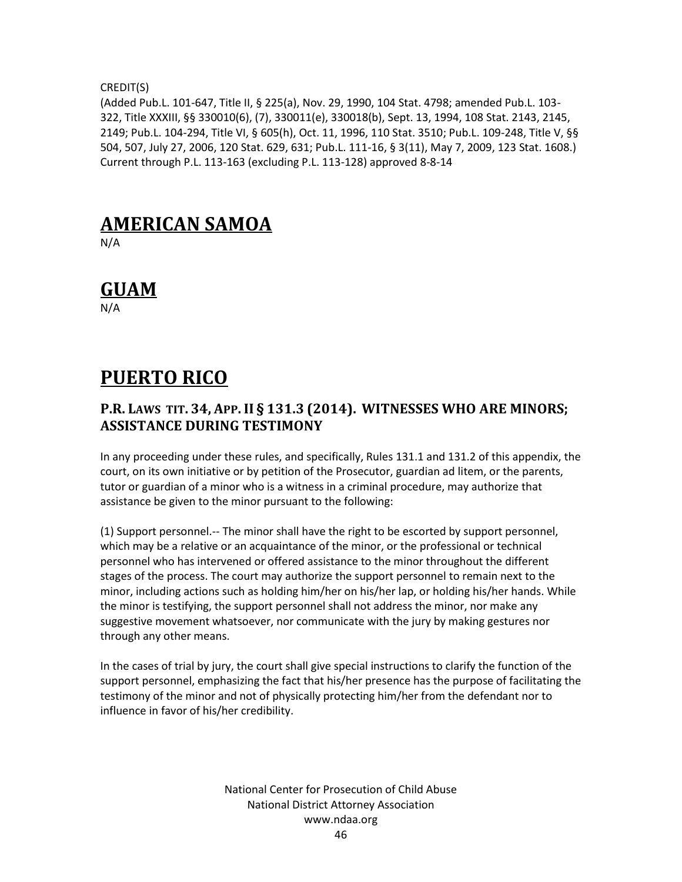CREDIT(S)

(Added Pub.L. 101-647, Title II, § 225(a), Nov. 29, 1990, 104 Stat. 4798; amended Pub.L. 103- 322, Title XXXIII, §§ 330010(6), (7), 330011(e), 330018(b), Sept. 13, 1994, 108 Stat. 2143, 2145, 2149; Pub.L. 104-294, Title VI, § 605(h), Oct. 11, 1996, 110 Stat. 3510; Pub.L. 109-248, Title V, §§ 504, 507, July 27, 2006, 120 Stat. 629, 631; Pub.L. 111-16, § 3(11), May 7, 2009, 123 Stat. 1608.) Current through P.L. 113-163 (excluding P.L. 113-128) approved 8-8-14

### <span id="page-45-0"></span>**AMERICAN SAMOA**

<span id="page-45-1"></span>N/A

**GUAM**

N/A

# <span id="page-45-2"></span>**PUERTO RICO**

#### <span id="page-45-3"></span>**P.R. LAWS TIT. 34, APP. II § 131.3 (2014). WITNESSES WHO ARE MINORS; ASSISTANCE DURING TESTIMONY**

In any proceeding under these rules, and specifically, Rules 131.1 and 131.2 of this appendix, the court, on its own initiative or by petition of the Prosecutor, guardian ad litem, or the parents, tutor or guardian of a minor who is a witness in a criminal procedure, may authorize that assistance be given to the minor pursuant to the following:

(1) Support personnel.-- The minor shall have the right to be escorted by support personnel, which may be a relative or an acquaintance of the minor, or the professional or technical personnel who has intervened or offered assistance to the minor throughout the different stages of the process. The court may authorize the support personnel to remain next to the minor, including actions such as holding him/her on his/her lap, or holding his/her hands. While the minor is testifying, the support personnel shall not address the minor, nor make any suggestive movement whatsoever, nor communicate with the jury by making gestures nor through any other means.

In the cases of trial by jury, the court shall give special instructions to clarify the function of the support personnel, emphasizing the fact that his/her presence has the purpose of facilitating the testimony of the minor and not of physically protecting him/her from the defendant nor to influence in favor of his/her credibility.